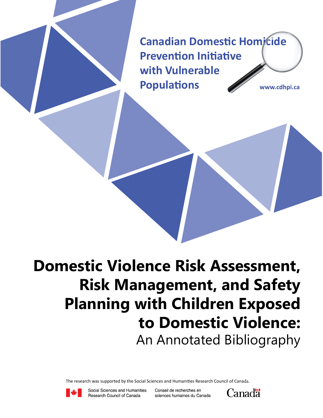**Canadian Domestic Homicide Prevention Initiative with Vulnerable Populations www.cdhpi.ca**

**Domestic Violence Risk Assessment, Risk Management, and Safety Planning with Children Exposed to Domestic Violence:** An Annotated Bibliography

The research was supported by the Social Sciences and Humanities Research Council of Canada.



Social Sciences and Humanities Research Council of Canada

Conseil de recherches en sciences humaines du Canada

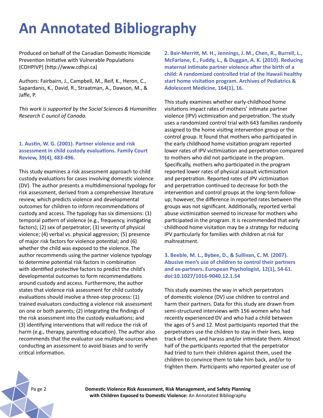# **An Annotated Bibliography**

Produced on behalf of the Canadian Domestic Homicide Prevention Initiative with Vulnerable Populations (CDHPIVP) (http://www.cdhpi.ca)

Authors: Fairbairn, J., Campbell, M., Reif, K., Heron, C., Sapardanis, K., David, R., Straatman, A., Dawson, M., & Jaffe, P.

*This work is supported by the Social Sciences & Humanities Research C ouncil of Canada.*

#### **1. Austin, W. G. (2001). Partner violence and risk assessment in child custody evaluations. Family Court Review, 39(4), 483-496.**

This study examines a risk assessment approach to child custody evaluations for cases involving domestic violence (DV). The author presents a multidimensional typology for risk assessment, derived from a comprehensive literature review, which predicts violence and developmental outcomes for children to inform recommendations of custody and access. The typology has six dimensions: (1) temporal pattern of violence (e.g., frequency, instigating factors); (2) sex of perpetrator; (3) severity of physical violence; (4) verbal vs. physical aggression; (5) presence of major risk factors for violence potential; and (6) whether the child was exposed to the violence. The author recommends using the partner violence typology to determine potential risk factors in combination with identified protective factors to predict the child's developmental outcomes to form recommendations around custody and access. Furthermore, the author states that violence risk assessment for child custody evaluations should involve a three-step process: (1) trained evaluators conducting a violence risk assessment on one or both parents; (2) integrating the findings of the risk assessment into the custody evaluations; and (3) identifying interventions that will reduce the risk of harm (e.g., therapy, parenting education). The author also recommends that the evaluator use multiple sources when conducting an assessment to avoid biases and to verify critical information.

**2. Bair-Merritt, M. H., Jennings, J. M., Chen, R., Burrell, L., McFarlane, E., Fuddy, L., & Duggan, A. K. (2010). Reducing maternal intimate partner violence after the birth of a child: A randomized controlled trial of the Hawaii healthy start home visitation program. Archives of Pediatrics & Adolescent Medicine, 164(1), 16.** 

This study examines whether early-childhood home visitations impact rates of mothers' intimate partner violence (IPV) victimization and perpetration. The study uses a randomized control trial with 643 families randomly assigned to the home visiting intervention group or the control group. It found that mothers who participated in the early childhood home visitation program reported lower rates of IPV victimization and perpetration compared to mothers who did not participate in the program. Specifically, mothers who participated in the program reported lower rates of physical assault victimization and perpetration. Reported rates of IPV victimization and perpetration continued to decrease for both the intervention and control groups at the long-term followup; however, the difference in reported rates between the groups was not significant. Additionally, reported verbal abuse victimization seemed to increase for mothers who participated in the program. It is recommended that early childhood home visitation may be a strategy for reducing IPV particularly for families with children at risk for maltreatment.

**3. Beeble, M. L., Bybee, D., & Sullivan, C. M. (2007). Abusive men's use of children to control their partners and ex-partners. European Psychologist, 12(1), 54-61. doi:10.1027/1016-9040.12.1.54** 

This study examines the way in which perpetrators of domestic violence (DV) use children to control and harm their partners. Data for this study are drawn from semi-structured interviews with 156 women who had recently experienced DV and who had a child between the ages of 5 and 12. Most participants reported that the perpetrators use the children to stay in their lives, keep track of them, and harass and/or intimidate them. Almost half of the participants reported that the perpetrator had tried to turn their children against them, used the children to convince them to take him back, and/or to frighten them. Participants who reported greater use of

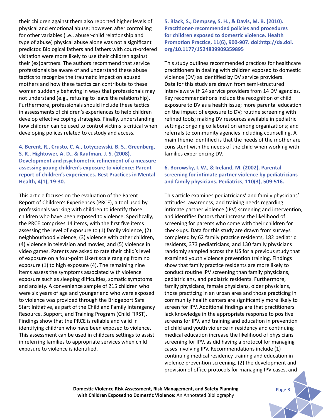their children against them also reported higher levels of physical and emotional abuse; however, after controlling for other variables (i.e., abuser-child relationship and type of abuse) physical abuse alone was not a significant predictor. Biological fathers and fathers with court-ordered visitation were more likely to use their children against their (ex)partners. The authors recommend that service professionals be aware of and understand these abuse tactics to recognize the traumatic impact on abused mothers and how these tactics can contribute to these women suddenly behaving in ways that professionals may not understand (e.g., refusing to leave the relationship). Furthermore, professionals should include these tactics in assessments of children's experiences to help children develop effective coping strategies. Finally, understanding how children can be used to control victims is critical when developing polices related to custody and access.

**4. Berent, R., Crusto, C. A., Lotyczewski, B. S., Greenberg, S. R., Hightower, A. D., & Kaufman, J. S. (2008). Development and psychometric refinement of a measure assessing young children's exposure to violence: Parent report of children's experiences. Best Practices in Mental Health, 4(1), 19-30.** 

This article focuses on the evaluation of the Parent Report of Children's Experiences (PRCE), a tool used by professionals working with children to identify those children who have been exposed to violence. Specifically, the PRCE comprises 14 items, with the first five items assessing the level of exposure to (1) family violence, (2) neighbourhood violence, (3) violence with other children, (4) violence in television and movies, and (5) violence in video games. Parents are asked to rate their child's level of exposure on a four-point Likert scale ranging from no exposure (1) to high exposure (4). The remaining nine items assess the symptoms associated with violence exposure such as sleeping difficulties, somatic symptoms and anxiety. A convenience sample of 215 children who were six years of age and younger and who were exposed to violence was provided through the Bridgeport Safe Start Initiative, as part of the Child and Family Interagency Resource, Support, and Training Program (Child FIRST). Findings show that the PRCE is reliable and valid in identifying children who have been exposed to violence. This assessment can be used in childcare settings to assist in referring families to appropriate services when child exposure to violence is identified.

**5. Black, S., Dempsey, S. H., & Davis, M. B. (2010). Practitioner-recommended policies and procedures for children exposed to domestic violence. Health Promotion Practice, 11(6), 900-907. doi:http://dx.doi. org/10.1177/1524839909359895**

This study outlines recommended practices for healthcare practitioners in dealing with children exposed to domestic violence (DV) as identified by DV service providers. Data for this study are drawn from semi-structured interviews with 24 service providers from 14 DV agencies. Key recommendations include the recognition of child exposure to DV as a health issue; more parental education on the impact of exposure to DV; routine screening with refined tools; making DV resources available in pediatric settings; ongoing collaboration among organizations; and referrals to community agencies including counselling. A main theme identified is that the needs of the mother are consistent with the needs of the child when working with families experiencing DV.

#### **6. Borowsky, I. W., & Ireland, M. (2002). Parental screening for intimate partner violence by pediatricians and family physicians. Pediatrics, 110(3), 509-516.**

This article examines pediatricians' and family physicians' attitudes, awareness, and training needs regarding intimate partner violence (IPV) screening and intervention, and identifies factors that increase the likelihood of screening for parents who come with their children for check-ups. Data for this study are drawn from surveys completed by 62 family practice residents, 182 pediatric residents, 373 pediatricians, and 130 family physicians randomly sampled across the US for a previous study that examined youth violence prevention training. Findings show that family practice residents are more likely to conduct routine IPV screening than family physicians, pediatricians, and pediatric residents. Furthermore, family physicians, female physicians, older physicians, those practicing in an urban area and those practicing in community health centers are significantly more likely to screen for IPV. Additional findings are that practitioners lack knowledge in the appropriate response to positive screens for IPV, and training and education in prevention of child and youth violence in residency and continuing medical education increase the likelihood of physicians screening for IPV, as did having a protocol for managing cases involving IPV. Recommendations include (1) continuing medical residency training and education in violence prevention screening, (2) the development and provision of office protocols for managing IPV cases, and

**Domestic Violence Risk Assessment, Risk Management, and Safety Planning Page 3** Page 3 **with Children Exposed to Domestic Violence:** An Annotated Bibliography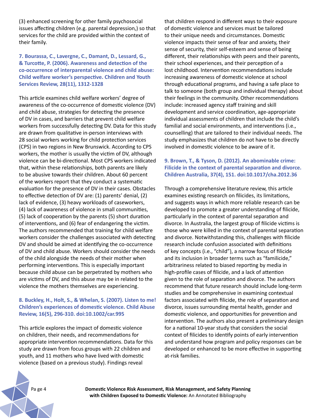(3) enhanced screening for other family psychosocial issues affecting children (e.g. parental depression,) so that services for the child are provided within the context of their family.

#### **7. Bourassa, C., Lavergne, C., Damant, D., Lessard, G., & Turcotte, P. (2006). Awareness and detection of the co-occurrence of interparental violence and child abuse: Child welfare worker's perspective. Children and Youth Services Review, 28(11), 1312-1328**

This article examines child welfare workers' degree of awareness of the co-occurrence of domestic violence (DV) and child abuse, strategies for detecting the presence of DV in cases, and barriers that prevent child welfare workers from successfully detecting DV. Data for this study are drawn from qualitative in-person interviews with 28 social workers working for child protection services (CPS) in two regions in New Brunswick. According to CPS workers, the mother is usually the victim of DV, although violence can be bi-directional. Most CPS workers indicated that, within these relationships, both parents are likely to be abusive towards their children. About 60 percent of the workers report that they conduct a systematic evaluation for the presence of DV in their cases. Obstacles to effective detection of DV are: (1) parents' denial, (2) lack of evidence, (3) heavy workloads of caseworkers, (4) lack of awareness of violence in small communities, (5) lack of cooperation by the parents (5) short duration of interventions, and (6) fear of endangering the victim. The authors recommended that training for child welfare workers consider the challenges associated with detecting DV and should be aimed at identifying the co-occurrence of DV and child abuse. Workers should consider the needs of the child alongside the needs of their mother when performing interventions. This is especially important because child abuse can be perpetrated by mothers who are victims of DV, and this abuse may be in related to the violence the mothers themselves are experiencing.

#### **8. Buckley, H., Holt, S., & Whelan, S. (2007). Listen to me! Children's experiences of domestic violence. Child Abuse Review, 16(5), 296-310. doi:10.1002/car.995**

This article explores the impact of domestic violence on children, their needs, and recommendations for appropriate intervention recommendations. Data for this study are drawn from focus groups with 22 children and youth, and 11 mothers who have lived with domestic violence (based on a previous study). Findings reveal

that children respond in different ways to their exposure of domestic violence and services must be tailored to their unique needs and circumstances. Domestic violence impacts their sense of fear and anxiety, their sense of security, their self-esteem and sense of being different, their relationships with peers and their parents, their school experiences, and their perception of a lost childhood. Intervention recommendations include increasing awareness of domestic violence at school through educational programs, and having a safe place to talk to someone (both group and individual therapy) about their feelings in the community. Other recommendations include: increased agency staff training and skill development and service coordination, age-appropriate individual assessments of children that include the child's familial and social environments, and interventions (i.e., counselling) that are tailored to their individual needs. The study emphasizes that children do not have to be directly involved in domestic violence to be aware of it.

## **9. Brown, T., & Tyson, D. (2012). An abominable crime: Filicide in the context of parental separation and divorce. Children Australia, 37(4), 151. doi:10.1017/cha.2012.36**

Through a comprehensive literature review, this article examines existing research on filicides, its limitations, and suggests ways in which more reliable research can be developed to promote a greater understanding of filicide, particularly in the context of parental separation and divorce. In Australia, the largest group of filicide victims is those who were killed in the context of parental separation and divorce. Notwithstanding this, challenges with filicide research include confusion associated with definitions of key concepts (i.e., "child"), a narrow focus of filicide and its inclusion in broader terms such as "familicide," arbitrariness related to biased reporting by media in high-profile cases of filicide, and a lack of attention given to the role of separation and divorce. The authors recommend that future research should include long-term studies and be comprehensive in examining contextual factors associated with filicide, the role of separation and divorce, issues surrounding mental health, gender and domestic violence, and opportunities for prevention and intervention. The authors also present a preliminary design for a national 10-year study that considers the social context of filicides to identify points of early intervention and understand how program and policy responses can be developed or enhanced to be more effective in supporting at-risk families.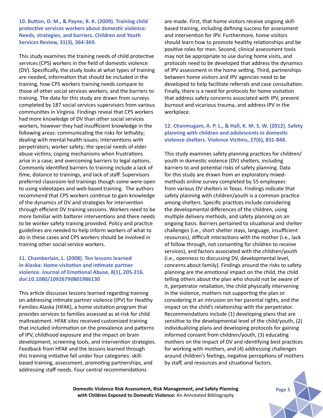**10. Button, D. M., & Payne, B. K. (2009). Training child protective services workers about domestic violence: Needs, strategies, and barriers. Children and Youth Services Review, 31(3), 364-369.** 

This study examines the training needs of child protective services (CPS) workers in the field of domestic violence (DV). Specifically, the study looks at what types of training are needed, information that should be included in the training, how CPS workers training needs compare to those of other social services workers, and the barriers to training. The data for this study are drawn from surveys completed by 187 social services supervisors from various communities in Virginia. Findings reveal that CPS workers had more knowledge of DV than other social services workers, however they had insufficient knowledge in the following areas: communicating the risks for lethality; dealing with mental health issues; interventions with perpetrators; worker safety; the special needs of elder abuse victims; coping mechanisms when frustrations arise in a case; and overcoming barriers to legal options. Commonly identified barriers to training include a lack of time, distance to trainings, and lack of staff. Supervisors preferred classroom led trainings though some were open to using videotapes and web-based training. The authors recommend that CPS workers continue to gain knowledge of the dynamics of DV and strategies for intervention through efficient DV training sessions. Workers need to be more familiar with batterer interventions and there needs to be worker safety training provided. Policy and practice guidelines are needed to help inform workers of what to do in these cases and CPS workers should be involved in training other social service workers.

## **11. Chamberlain, L. (2008). Ten lessons learned in Alaska: Home visitation and intimate partner violence. Journal of Emotional Abuse, 8(1), 205-216. doi:10.1080/10926790801986130**

This article discusses lessons learned regarding training on addressing intimate partner violence (IPV) for Healthy Families Alaska (HFAK), a home visitation program that provides services to families assessed as at-risk for child maltreatment. HFAK sites received customized training that included information on the prevalence and patterns of IPV, childhood exposure and the impact on brain development, screening tools, and intervention strategies. Feedback from HFAK and the lessons learned through this training initiative fall under four categories: skillbased training, assessment, promoting partnerships, and addressing staff needs. Four central recommendations

are made. First, that home visitors receive ongoing skillbased training, including defining success for assessment and intervention for IPV. Furthermore, home visitors should learn how to promote healthy relationships and be positive roles for men. Second, clinical assessment tools may not be appropriate to use during home visits, and protocols need to be developed that address the dynamics of IPV assessment in the home setting. Third, partnerships between home visitors and IPV agencies need to be developed to help facilitate referrals and case consultation. Finally, there is a need for protocols for home visitation that address safety concerns associated with IPV, prevent burnout and vicarious trauma, and address IPV in the workplace.

#### **12. Chanmugam, A. P. L., & Hall, K. M. S. W. (2012). Safety planning with children and adolescents in domestic violence shelters. Violence Victims, 27(6), 831-848.**

This study examines safety planning practices for children/ youth in domestic violence (DV) shelters, including barriers to and potential risks of safety planning. Data for this study are drawn from an exploratory mixedmethods online survey completed by 55 employees from various DV shelters in Texas. Findings indicate that safety planning with children/youth is a common practice among shelters. Specific practices include considering the developmental differences of the children, using multiple delivery methods, and safety planning on an ongoing basis. Barriers pertained to situational and shelter challenges (i.e., short shelter stays, language, insufficient resources), difficult interactions with the mother (i.e., lack of follow through, not consenting for children to receive services), and factors associated with the children/youth (i.e., openness to discussing DV, developmental level, concerns about family). Findings around the risks to safety planning are the emotional impact on the child, the child telling others about the plan who should not be aware of it, perpetrator retaliation, the child physically intervening in the violence, mothers not supporting the plan or considering it an intrusion on her parental rights, and the impact on the child's relationship with the perpetrator. Recommendations include (1) developing plans that are sensitive to the developmental level of the child/youth, (2) individualizing plans and developing protocols for gaining informed consent from children/youth, (3) educating mothers on the impact of DV and identifying best practices for working with mothers, and (4) addressing challenges around children's feelings, negative perceptions of mothers by staff, and resources and situational factors.

**Domestic Violence Risk Assessment, Risk Management, and Safety Planning Page 5** Page 5 **with Children Exposed to Domestic Violence:** An Annotated Bibliography

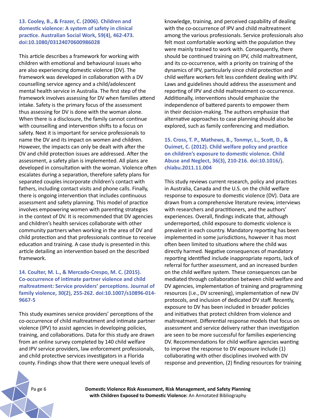**13. Cooley, B., & Frazer, C. (2006). Children and domestic violence: A system of safety in clinical practice. Australian Social Work, 59(4), 462-473. doi:10.1080/03124070600986028**

This article describes a framework for working with children with emotional and behavioural issues who are also experiencing domestic violence (DV). The framework was developed in collaboration with a DV counselling service agency and a child/adolescent mental health service in Australia. The first step of the framework involves assessing for DV when families attend intake. Safety is the primary focus of the assessment thus assessing for DV is done with the woman alone. When there is a disclosure, the family cannot continue with counselling and intervention shifts to a focus on safety. Next it is important for service professionals to name the DV and its impact on women and children. However, the impacts can only be dealt with after the DV and child protection issues are addressed. After the assessment, a safety plan is implemented. All plans are developed in consultation with the woman. Violence often escalates during a separation, therefore safety plans for separated couples incorporate children's contact with fathers, including contact visits and phone calls. Finally, there is ongoing intervention that includes continuous assessment and safety planning. This model of practice involves empowering women with parenting strategies in the context of DV. It is recommended that DV agencies and children's health services collaborate with other community partners when working in the area of DV and child protection and that professionals continue to receive education and training. A case study is presented in this article detailing an intervention based on the described framework.

#### **14. Coulter, M. L., & Mercado-Crespo, M. C. (2015). Co-occurrence of intimate partner violence and child maltreatment: Service providers' perceptions. Journal of family violence, 30(2), 255-262. doi:10.1007/s10896-014- 9667-5**

This study examines service providers' perceptions of the co-occurrence of child maltreatment and intimate partner violence (IPV) to assist agencies in developing policies, training, and collaborations. Data for this study are drawn from an online survey completed by 140 child welfare and IPV service providers, law enforcement professionals, and child protective services investigators in a Florida county. Findings show that there were unequal levels of

knowledge, training, and perceived capability of dealing with the co-occurrence of IPV and child maltreatment among the various professionals. Service professionals also felt most comfortable working with the population they were mainly trained to work with. Consequently, there should be continued training on IPV, child maltreatment, and its co-occurrence, with a priority on training of the dynamics of IPV, particularly since child protection and child welfare workers felt less confident dealing with IPV. Laws and guidelines should address the assessment and reporting of IPV and child maltreatment co-occurrence. Additionally, interventions should emphasize the independence of battered parents to empower them in their decision-making. The authors emphasize that alternative approaches to case planning should also be explored, such as family conferencing and mediation.

**15. Cross, T. P., Mathews, B., Tonmyr, L., Scott, D., & Ouimet, C. (2012). Child welfare policy and practice on children's exposure to domestic violence. Child Abuse and Neglect, 36(3), 210-216. doi:10.1016/j. chiabu.2011.11.004**

This study reviews current research, policy and practices in Australia, Canada and the U.S. on the child welfare response to exposure to domestic violence (DV). Data are drawn from a comprehensive literature review, interviews with researchers and practitioners, and the authors' experiences. Overall, findings indicate that, although underreported, child exposure to domestic violence is prevalent in each country. Mandatory reporting has been implemented in some jurisdictions, however it has most often been limited to situations where the child was directly harmed. Negative consequences of mandatory reporting identified include inappropriate reports, lack of referral for further assessment, and an increased burden on the child welfare system. These consequences can be mediated through collaboration between child welfare and DV agencies, implementation of training and programming resources (i.e., DV screening), implementation of new DV protocols, and inclusion of dedicated DV staff. Recently, exposure to DV has been included in broader policies and initiatives that protect children from violence and maltreatment. Differential response models that focus on assessment and service delivery rather than investigation are seen to be more successful for families experiencing DV. Recommendations for child welfare agencies wanting to improve the response to DV exposure include (1) collaborating with other disciplines involved with DV response and prevention, (2) finding resources for training

Pa ge 6 **Domestic Violence Risk Assessment, Risk Management, and Safety Planning with Children Exposed to Domestic Violence:** An Annotated Bibliography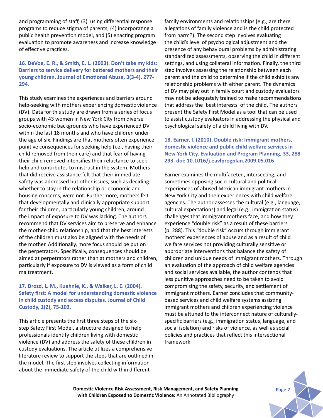and programming of staff, (3) using differential response programs to reduce stigma of parents, (4) incorporating a public health prevention model, and (5) enacting program evaluation to promote awareness and increase knowledge of effective practices.

#### **16. DeVoe, E. R., & Smith, E. L. (2003). Don't take my kids: Barriers to service delivery for battered mothers and their young children. Journal of Emotional Abuse, 3(3-4), 277- 294.**

This study examines the experiences and barriers around help-seeking with mothers experiencing domestic violence (DV). Data for this study are drawn from a series of focus groups with 43 women in New York City from diverse socio-economic backgrounds who have experienced DV within the last 18 months and who have children under the age of six. Findings are that mothers often experience punitive consequences for seeking help (i.e., having their child removed from their care) and that fear of having their child removed intensifies their reluctance to seek help and contributes to mistrust in the system. Mothers that did receive assistance felt that their immediate safety was addressed but other issues, such as deciding whether to stay in the relationship or economic and housing concerns, were not. Furthermore, mothers felt that developmentally and clinically appropriate support for their children, particularly young children, around the impact of exposure to DV was lacking. The authors recommend that DV services aim to preserve and enhance the mother-child relationship, and that the best interests of the children must also be aligned with the needs of the mother. Additionally, more focus should be put on the perpetrators. Specifically, consequences should be aimed at perpetrators rather than at mothers and children, particularly if exposure to DV is viewed as a form of child maltreatment.

## **17. Drozd, L. M., Kuehnle, K., & Walker, L. E. (2004). Safety first: A model for understanding domestic violence in child custody and access disputes. Journal of Child Custody, 1(2), 75-103.**

This article presents the first three steps of the sixstep Safety First Model, a structure designed to help professionals identify children living with domestic violence (DV) and address the safety of these children in custody evaluations. The article utilizes a comprehensive literature review to support the steps that are outlined in the model. The first step involves collecting information about the immediate safety of the child within different

family environments and relationships (e.g., are there allegations of family violence and is the child protected from harm?). The second step involves evaluating the child's level of psychological adjustment and the presence of any behavioural problems by administrating standardized assessments, observing the child in different settings, and using collateral information. Finally, the third step involves assessing the relationship between each parent and the child to determine if the child exhibits any relationship problems with either parent. The dynamics of DV may play out in family court and custody evaluators may not be adequately trained to make recommendations that address the 'best interests' of the child. The authors present the Safety First Model as a tool that can be used to assist custody evaluators in addressing the physical and psychological safety of a child living with DV.

# **18. Earner, I. (2010). Double risk: Immigrant mothers, domestic violence and public child welfare services in New York City. Evaluation and Program Planning, 33, 288- 293. doi: 10.1016/j.eavlprogplan.2009.05.016**

Earner examines the multifaceted, intersecting, and sometimes opposing socio-cultural and political experiences of abused Mexican immigrant mothers in New York City and their experiences with child welfare agencies. The author assesses the cultural (e.g., language, cultural expectations) and legal (e.g., immigration status) challenges that immigrant mothers face, and how they experience "double risk" as a result of these barriers (p. 288). This "double risk" occurs through immigrant mothers' experiences of abuse and as a result of child welfare services not providing culturally sensitive or appropriate interventions that balance the safety of children and unique needs of immigrant mothers. Through an evaluation of the approach of child welfare agencies and social services available, the author contends that less punitive approaches need to be taken to avoid compromising the safety, security, and settlement of immigrant mothers. Earner concludes that communitybased services and child welfare systems assisting immigrant mothers and children experiencing violence must be attuned to the interconnect nature of culturallyspecific barriers (e.g., immigration status, language, and social isolation) and risks of violence, as well as social policies and practices that reflect this intersectional framework.

**Domestic Violence Risk Assessment, Risk Management, and Safety Planning with Children Exposed to Domestic Violence:** An Annotated Bibliography

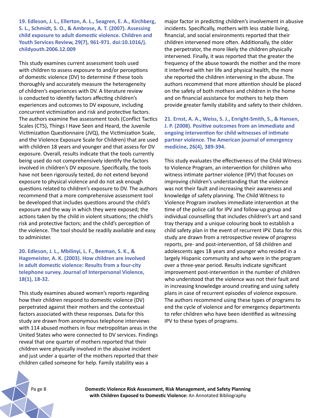**19. Edleson, J. L., Ellerton, A. L., Seagren, E. A., Kirchberg, S. L., Schmidt, S. O., & Ambrose, A. T. (2007). Assessing child exposure to adult domestic violence. Children and Youth Services Review, 29(7), 961-971. doi:10.1016/j. childyouth.2006.12.009**

This study examines current assessment tools used with children to assess exposure to and/or perceptions of domestic violence (DV) to determine if these tools thoroughly and accurately measure the heterogeneity of children's experiences with DV. A literature review is conducted to identify factors affecting children's experiences and outcomes to DV exposure, including concurrent victimization and risk and protective factors. The authors examine five assessment tools (Conflict Tactics Scales (CTS), Things I Have Seen and Heard, the Juvenile Victimization Questionnaire (JVQ), the Victimization Scale, and the Violence Exposure Scale for Children) that are used with children 18 years and younger and that assess for DV exposure. Overall, results indicate that the tools currently being used do not comprehensively identify the factors involved in children's DV exposure. Specifically, the tools have not been rigorously tested, do not extend beyond exposure to physical violence and do not ask enough questions related to children's exposure to DV. The authors recommend that a more comprehensive assessment tool be developed that includes questions around the child's exposure and the way in which they were exposed; the actions taken by the child in violent situations; the child's risk and protective factors; and the child's perception of the violence. The tool should be readily available and easy to administer.

**20. Edleson, J. L., Mbilinyi, L. F., Beeman, S. K., & Hagemeister, A. K. (2003). How children are involved in adult domestic violence: Results from a four-city telephone survey. Journal of Interpersonal Violence, 18(1), 18-32.** 

This study examines abused women's reports regarding how their children respond to domestic violence (DV) perpetrated against their mothers and the contextual factors associated with these responses. Data for this study are drawn from anonymous telephone interviews with 114 abused mothers in four metropolitan areas in the United States who were connected to DV services. Findings reveal that one quarter of mothers reported that their children were physically involved in the abusive incident and just under a quarter of the mothers reported that their children called someone for help. Family stability was a

major factor in predicting children's involvement in abusive incidents. Specifically, mothers with less stable living, financial, and social environments reported that their children intervened more often. Additionally, the older the perpetrator, the more likely the children physically intervened. Finally, it was reported that the greater the frequency of the abuse towards the mother and the more it interfered with her life and physical health, the more she reported the children intervening in the abuse. The authors recommend that more attention should be placed on the safety of both mothers and children in the home and on financial assistance for mothers to help them provide greater family stability and safety to their children.

**21. Ernst, A. A., Weiss, S. J., Enright-Smith, S., & Hansen, J. P. (2008). Positive outcomes from an immediate and ongoing intervention for child witnesses of intimate partner violence. The American journal of emergency medicine, 26(4), 389-394.** 

This study evaluates the effectiveness of the Child Witness to Violence Program, an intervention for children who witness intimate partner violence (IPV) that focuses on improving children's understanding that the violence was not their fault and increasing their awareness and knowledge of safety planning. The Child Witness to Violence Program involves immediate intervention at the time of the police call for IPV and follow-up group and individual counselling that includes children's art and sand tray therapy and a unique colouring book to establish a child safety plan in the event of recurrent IPV. Data for this study are drawn from a retrospective review of progress reports, pre- and post-intervention, of 58 children and adolescents ages 18 years and younger who resided in a largely Hispanic community and who were in the program over a three-year period. Results indicate significant improvement post-intervention in the number of children who understood that the violence was not their fault and in increasing knowledge around creating and using safety plans in case of recurrent episodes of violence exposure. The authors recommend using these types of programs to end the cycle of violence and for emergency departments to refer children who have been identified as witnessing IPV to these types of programs.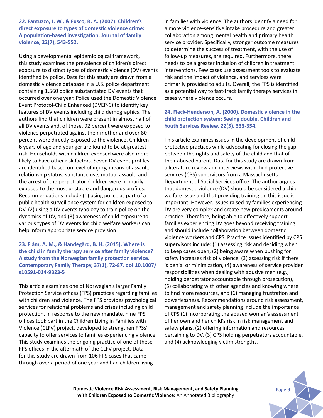**22. Fantuzzo, J. W., & Fusco, R. A. (2007). Children's direct exposure to types of domestic violence crime: A population-based investigation. Journal of family violence, 22(7), 543-552.** 

Using a developmental epidemiological framework, this study examines the prevalence of children's direct exposure to distinct types of domestic violence (DV) events identified by police. Data for this study are drawn from a domestic violence database in a U.S. police department containing 1,560 police substantiated DV events that occurred over one year. Police used the Domestic Violence Event Protocol-Child Enhanced (DVEP-C) to identify key features of DV events including child demographics. The authors find that children were present in almost half of all DV events and, of those, 92 percent were exposed to violence perpetrated against their mother and over 80 percent were directly exposed to the violence. Children 6 years of age and younger are found to be at greatest risk. Households with children exposed were also more likely to have other risk factors. Seven DV event profiles are identified based on level of injury, means of assault, relationship status, substance use, mutual assault, and the arrest of the perpetrator. Children were primarily exposed to the most unstable and dangerous profiles. Recommendations include (1) using police as part of a public health surveillance system for children exposed to DV, (2) using a DV events typology to train police on the dynamics of DV, and (3) awareness of child exposure to various types of DV events for child welfare workers can help inform appropriate service provision.

## **23. Flåm, A. M., & Handegård, B. H. (2015). Where is the child in family therapy service after family violence? A study from the Norwegian family protection service. Contemporary Family Therapy, 37(1), 72-87. doi:10.1007/ s10591-014-9323-5**

This article examines one of Norwegian's larger Family Protection Service offices (FPS) practices regarding families with children and violence. The FPS provides psychological services for relational problems and crises including child protection. In response to the new mandate, nine FPS offices took part in the Children Living in Families with Violence (CLFV) project, developed to strengthen FPSs' capacity to offer services to families experiencing violence. This study examines the ongoing practice of one of these FPS offices in the aftermath of the CLFV project. Data for this study are drawn from 106 FPS cases that came through over a period of one year and had children living

in families with violence. The authors identify a need for a more violence-sensitive intake procedure and greater collaboration among mental health and primary health service provider. Specifically, stronger outcome measures to determine the success of treatment, with the use of follow-up measures, are required. Furthermore, there needs to be a greater inclusion of children in treatment interventions. Few cases use assessment tools to evaluate risk and the impact of violence, and services were primarily provided to adults. Overall, the FPS is identified as a potential way to fast-track family therapy services in cases where violence occurs.

#### **24. Fleck-Henderson, A. (2000). Domestic violence in the child protection system: Seeing double. Children and Youth Services Review, 22(5), 333-354.**

This article examines issues in the development of child protective practices while advocating for closing the gap between the rights and safety of the child and that of their abused parent. Data for this study are drawn from a literature review and interviews with child protective services (CPS) supervisors from a Massachusetts Department of Social Services office. The author argues that domestic violence (DV) should be considered a child welfare issue and that providing training on this issue is important. However, issues raised by families experiencing DV are very complex and create new predicaments around practice. Therefore, being able to effectively support families experiencing DV goes beyond receiving training and should include collaboration between domestic violence workers and CPS. Practice issues identified by CPS supervisors include: (1) assessing risk and deciding when to keep cases open, (2) being aware when pushing for safety increases risk of violence, (3) assessing risk if there is denial or minimization, (4) awareness of service provider responsibilities when dealing with abusive men (e.g., holding perpetrator accountable through prosecution), (5) collaborating with other agencies and knowing where to find more resources, and (6) managing frustration and powerlessness. Recommendations around risk assessment, management and safety planning include the importance of CPS (1) incorporating the abused woman's assessment of her own and her child's risk in risk management and safety plans, (2) offering information and resources pertaining to DV, (3) CPS holding perpetrators accountable, and (4) acknowledging victim strengths.

**Domestic Violence Risk Assessment, Risk Management, and Safety Planning with Children Exposed to Domestic Violence:** An Annotated Bibliography

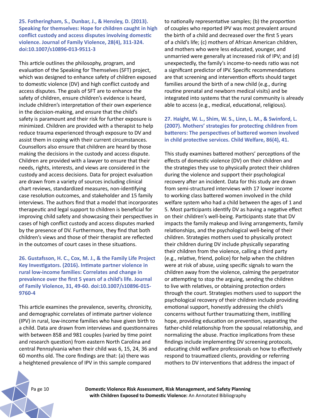**25. Fotheringham, S., Dunbar, J., & Hensley, D. (2013). Speaking for themselves: Hope for children caught in high conflict custody and access disputes involving domestic violence. Journal of Family Violence, 28(4), 311-324. doi:10.1007/s10896-013-9511-3**

This article outlines the philosophy, program, and evaluation of the Speaking for Themselves (SFT) project, which was designed to enhance safety of children exposed to domestic violence (DV) and high conflict custody and access disputes. The goals of SFT are to enhance the safety of children, ensure children's evidence is heard, include children's interpretation of their own experience in the decision-making, and ensure that the child's safety is paramount and their risk for further exposure is minimized. Children are provided with a therapist to help reduce trauma experienced through exposure to DV and assist them in coping with their current circumstances. Counsellors also ensure that children are heard by those making the decisions in the custody and access dispute. Children are provided with a lawyer to ensure that their needs, rights, interests, and views are considered in the custody and access decisions. Data for project evaluation are drawn from a variety of sources including clinical chart reviews, standardized measures, non-identifying case resolution outcomes, and stakeholder and 15 family interviews. The authors find that a model that incorporates therapeutic and legal support to children is beneficial for improving child safety and showcasing their perspectives in cases of high conflict custody and access disputes marked by the presence of DV. Furthermore, they find that both children's views and those of their therapist are reflected in the outcomes of court cases in these situations.

**26. Gustafsson, H. C., Cox, M. J., & the Family Life Project Key Investigators. (2016). Intimate partner violence in rural low-income families: Correlates and change in prevalence over the first 5 years of a child's life. Journal of Family Violence, 31, 49-60. doi:10.1007/s10896-015- 9760-4**

This article examines the prevalence, severity, chronicity, and demographic correlates of intimate partner violence (IPV) in rural, low-income families who have given birth to a child. Data are drawn from interviews and questionnaires with between 858 and 981 couples (varied by time point and research question) from eastern North Carolina and central Pennsylvania when their child was 6, 15, 24, 36 and 60 months old. The core findings are that: (a) there was a heightened prevalence of IPV in this sample compared

to nationally representative samples; (b) the proportion of couples who reported IPV was most prevalent around the birth of a child and decreased over the first 5 years of a child's life; (c) mothers of African American children, and mothers who were less educated, younger, and unmarried were generally at increased risk of IPV; and (d) unexpectedly, the family's income-to-needs ratio was not a significant predictor of IPV. Specific recommendations are that screening and intervention efforts should target families around the birth of a new child (e.g., during routine prenatal and newborn medical visits) and be integrated into systems that the rural community is already able to access (e.g., medical, educational, religious).

**27. Haight, W. L., Shim, W. S., Linn, L. M., & Swinford, L. (2007). Mothers' strategies for protecting children from batterers: The perspectives of battered women involved in child protective services. Child Welfare, 86(4), 41.** 

This study examines battered mothers' perceptions of the effects of domestic violence (DV) on their children and the strategies they use to physically protect their children during the violence and support their psychological recovery after an incident. Data for this study are drawn from semi-structured interviews with 17 lower income to working class battered women involved in the child welfare system who had a child between the ages of 1 and 5. Most participants identify DV as having a negative effect on their children's well-being. Participants state that DV impacts the family makeup and living arrangements, family relationships, and the psychological well-being of their children. Strategies mothers used to physically protect their children during DV include physically separating their children from the violence, calling a third party (e.g., relative, friend, police) for help when the children were at risk of abuse, using specific signals to warn the children away from the violence, calming the perpetrator or attempting to stop the arguing, sending the children to live with relatives, or obtaining protection orders through the court. Strategies mothers used to support the psychological recovery of their children include providing emotional support, honestly addressing the child's concerns without further traumatizing them, instilling hope, providing education on prevention, separating the father-child relationship from the spousal relationship, and normalizing the abuse. Practice implications from these findings include implementing DV screening protocols, educating child welfare professionals on how to effectively respond to traumatized clients, providing or referring mothers to DV interventions that address the impact of

Pa ge 10 **Domestic Violence Risk Assessment, Risk Management, and Safety Planning with Children Exposed to Domestic Violence:** An Annotated Bibliography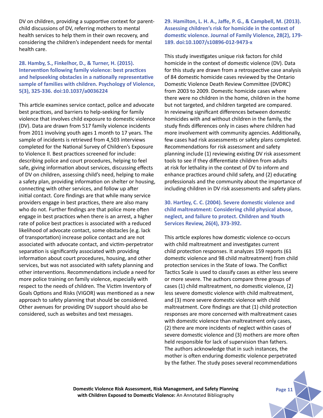DV on children, providing a supportive context for parentchild discussions of DV, referring mothers to mental health services to help them in their own recovery, and considering the children's independent needs for mental health care.

#### **28. Hamby, S., Finkelhor, D., & Turner, H. (2015). Intervention following family violence: best practices and helpseeking obstacles in a nationally representative sample of families with children. Psychology of Violence, 5(3), 325-336. doi:10.1037/a0036224**

This article examines service contact, police and advocate best practices, and barriers to help-seeking for family violence that involves child exposure to domestic violence (DV). Data are drawn from 517 family violence incidents from 2011 involving youth ages 1 month to 17 years. The sample of incidents is retrieved from 4,503 interviews completed for the National Survey of Children's Exposure to Violence II. Best practices screened for include: describing police and court procedures, helping to feel safe, giving information about services, discussing effects of DV on children, assessing child's need, helping to make a safety plan, providing information on shelter or housing, connecting with other services, and follow up after initial contact. Core findings are that while many service providers engage in best practices, there are also many who do not. Further findings are that police more often engage in best practices when there is an arrest, a higher rate of police best practices is associated with a reduced likelihood of advocate contact, some obstacles (e.g. lack of transportation) increase police contact and are not associated with advocate contact, and victim-perpetrator separation is significantly associated with providing information about court procedures, housing, and other services, but was not associated with safety planning and other interventions. Recommendations include a need for more police training on family violence, especially with respect to the needs of children. The Victim Inventory of Goals Options and Risks (VIGOR) was mentioned as a new approach to safety planning that should be considered. Other avenues for providing DV support should also be considered, such as websites and text messages.

**29. Hamilton, L. H. A., Jaffe, P. G., & Campbell, M. (2013). Assessing children's risk for homicide in the context of domestic violence. Journal of Family Violence, 28(2), 179- 189. doi:10.1007/s10896-012-9473-x**

This study investigates unique risk factors for child homicide in the context of domestic violence (DV). Data for this study are drawn from a retrospective case analysis of 84 domestic homicide cases reviewed by the Ontario Domestic Violence Death Review Committee (DVDRC) from 2003 to 2009. Domestic homicide cases where there were no children in the home, children in the home but not targeted, and children targeted are compared. In reviewing significant differences between domestic homicides with and without children in the family, the study finds differences only in cases where children had more involvement with community agencies. Additionally, few cases had risk assessments or safety plans completed. Recommendations for risk assessment and safety planning include (1) reviewing existing DV risk assessment tools to see if they differentiate children from adults at risk for lethality in the context of DV to inform and enhance practices around child safety, and (2) educating professionals and the community about the importance of including children in DV risk assessments and safety plans.

**30. Hartley, C. C. (2004). Severe domestic violence and child maltreatment: Considering child physical abuse, neglect, and failure to protect. Children and Youth Services Review, 26(4), 373-392.** 

This article explores how domestic violence co-occurs with child maltreatment and investigates current child protection responses. It analyzes 159 reports (61 domestic violence and 98 child maltreatment) from child protection services in the State of Iowa. The Conflict Tactics Scale is used to classify cases as either less severe or more severe. The authors compare three groups of cases (1) child maltreatment, no domestic violence, (2) less severe domestic violence with child maltreatment, and (3) more severe domestic violence with child maltreatment. Core findings are that (1) child protection responses are more concerned with maltreatment cases with domestic violence than maltreatment only cases, (2) there are more incidents of neglect within cases of severe domestic violence and (3) mothers are more often held responsible for lack of supervision than fathers. The authors acknowledge that in such instances, the mother is often enduring domestic violence perpetrated by the father. The study poses several recommendations

**Domestic Violence Risk Assessment, Risk Management, and Safety Planning Page 11 with Children Exposed to Domestic Violence:** An Annotated Bibliography

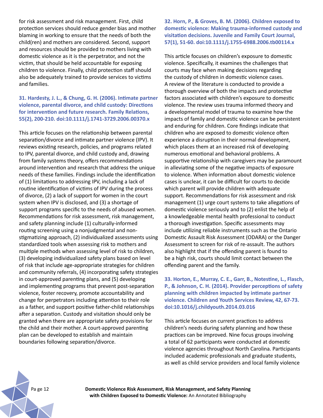for risk assessment and risk management. First, child protection services should reduce gender bias and mother blaming in working to ensure that the needs of both the child(ren) and mothers are considered. Second, support and resources should be provided to mothers living with domestic violence as it is the perpetrator, and not the victim, that should be held accountable for exposing children to violence. Finally, child protection staff should also be adequately trained to provide services to victims and families.

## **31. Hardesty, J. L., & Chung, G. H. (2006). Intimate partner violence, parental divorce, and child custody: Directions for intervention and future research. Family Relations, 55(2), 200-210. doi:10.1111/j.1741-3729.2006.00370.x**

This article focuses on the relationship between parental separation/divorce and intimate partner violence (IPV). It reviews existing research, policies, and programs related to IPV, parental divorce, and child custody and, drawing from family systems theory, offers recommendations around intervention and research that address the unique needs of these families. Findings include the identification of (1) limitations to addressing IPV, including a lack of routine identification of victims of IPV during the process of divorce, (2) a lack of support for women in the court system when IPV is disclosed, and (3) a shortage of support programs specific to the needs of abused women. Recommendations for risk assessment, risk management, and safety planning include (1) culturally-informed routing screening using a nonjudgmental and nonstigmatizing approach, (2) individualized assessments using standardized tools when assessing risk to mothers and multiple methods when assessing level of risk to children, (3) developing individualized safety plans based on level of risk that include age-appropriate strategies for children and community referrals, (4) incorporating safety strategies in court-approved parenting plans, and (5) developing and implementing programs that prevent post-separation violence, foster recovery, promote accountability and change for perpetrators including attention to their role as a father, and support positive father-child relationships after a separation. Custody and visitation should only be granted when there are appropriate safety provisions for the child and their mother. A court-approved parenting plan can be developed to establish and maintain boundaries following separation/divorce.

# **32. Horn, P., & Groves, B. M. (2006). Children exposed to domestic violence: Making trauma-informed custody and visitation decisions. Juvenile and Family Court Journal, 57(1), 51-60. doi:10.1111/j.1755-6988.2006.tb00114.x**

This article focuses on children's exposure to domestic violence. Specifically, it examines the challenges that courts may face when making decisions regarding the custody of children in domestic violence cases. A review of the literature is conducted to provide a thorough overview of both the impacts and protective factors associated with children's exposure to domestic violence. The review uses trauma informed theory and a developmental model of trauma to examine how the impacts of family and domestic violence can be persistent and enduring for children. Core findings indicate that children who are exposed to domestic violence often experience a disruption in their normal development, which places them at an increased risk of developing numerous emotional and behavioral problems. A supportive relationship with caregivers may be paramount in alleviating some of the negative impacts of exposure to violence. When information about domestic violence cases is unclear, it can be difficult for courts to decide which parent will provide children with adequate support. Recommendations for risk assessment and risk management (1) urge court systems to take allegations of domestic violence seriously and to (2) enlist the help of a knowledgeable mental health professional to conduct a thorough investigation. Specific assessments may include utilizing reliable instruments such as the Ontario Domestic Assault Risk Assessment (ODARA) or the Danger Assessment to screen for risk of re-assault. The authors also highlight that if the offending parent is found to be a high risk, courts should limit contact between the offending parent and the family.

## **33. Horton, E., Murray, C. E., Garr, B., Notestine, L., Flasch, P., & Johnson, C. H. (2014). Provider perceptions of safety planning with children impacted by intimate partner violence. Children and Youth Services Review, 42, 67-73. doi:10.1016/j.childyouth.2014.03.016**

This article focuses on current practices to address children's needs during safety planning and how these practices can be improved. Nine focus groups involving a total of 62 participants were conducted at domestic violence agencies throughout North Carolina. Participants included academic professionals and graduate students, as well as child service providers and local family violence



Pa ge 12 **Domestic Violence Risk Assessment, Risk Management, and Safety Planning with Children Exposed to Domestic Violence:** An Annotated Bibliography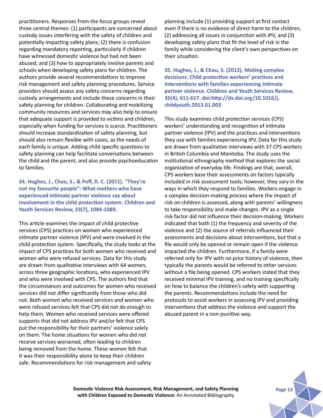practitioners. Responses from the focus groups reveal three central themes: (1) participants are concerned about custody issues interfering with the safety of children and potentially impacting safety plans; (2) there is confusion regarding mandatory reporting, particularly if children have witnessed domestic violence but had not been abused; and (3) how to appropriately involve parents and schools when developing safety plans for children. The authors provide several recommendations to improve risk management and safety planning procedures. Service providers should assess any safety concerns regarding custody arrangements and include these concerns in their safety planning for children. Collaborating and mobilizing community resources and services may also help to ensure that adequate support is provided to victims and children, especially when funding for services is scarce. Practitioners should increase standardization of safety planning, but should also remain flexible with cases, as the needs of each family is unique. Adding child specific questions to safety planning can help facilitate conversations between the child and the parent, and also provide psychoeducation to families.

**34. Hughes, J., Chau, S., & Poff, D. C. (2011). "They're not my favourite people": What mothers who have experienced intimate partner violence say about involvement in the child protection system. Children and Youth Services Review, 33(7), 1084-1089.** 

This article examines the impact of child protective services (CPS) practices on women who experienced intimate partner violence (IPV) and were involved in the child protection system. Specifically, the study looks at the impact of CPS practices for both women who received and women who were refused services. Data for this study are drawn from qualitative interviews with 64 women, across three geographic locations, who experienced IPV and who were involved with CPS. The authors find that the circumstances and outcomes for women who received services did not differ significantly from those who did not. Both women who received services and women who were refused services felt that CPS did not do enough to help them. Women who received services were offered supports that did not address IPV and/or felt that CPS put the responsibility for their partners' violence solely on them. The home situations for women who did not receive services worsened, often leading to children being removed from the home. These women felt that it was their responsibility alone to keep their children safe. Recommendations for risk management and safety

planning include (1) providing support at first contact even if there is no evidence of direct harm to the children, (2) addressing all issues in conjunction with IPV, and (3) developing safety plans that fit the level of risk in the family while considering the client's own perspectives on their situation.

**35. Hughes, J., & Chau, S. (2013). Making complex decisions: Child protection workers' practices and interventions with families experiencing intimate partner violence. Children and Youth Services Review, 35(4), 611-617. doi:http://dx.doi.org/10.1016/j. childyouth.2013.01.003**

This study examines child protection services (CPS) workers' understanding and recognition of intimate partner violence (IPV) and the practices and interventions they use with families experiencing IPV. Data for this study are drawn from qualitative interviews with 37 CPS workers in British Columbia and Manitoba. The study uses the institutional ethnography method that explores the social organization of everyday life. Findings are that, overall, CPS workers base their assessments on factors typically included in risk assessment tools; however, they vary in the ways in which they respond to families. Workers engage in a complex decision-making process where the impact of risk on children is assessed, along with parents' willingness to take responsibility and make changes. IPV as a single risk factor did not influence their decision-making. Workers indicated that both (1) the frequency and severity of the violence and (2) the source of referrals influenced their assessments and decisions about interventions, but that a file would only be opened or remain open if the violence impacted the children. Furthermore, if a family were referred only for IPV with no prior history of violence, then typically the parents would be referred to other services without a file being opened. CPS workers stated that they received minimal IPV training, and no training specifically on how to balance the children's safety with supporting the parents. Recommendations include the need for protocols to assist workers in assessing IPV and providing interventions that address the violence and support the abused parent in a non-punitive way.

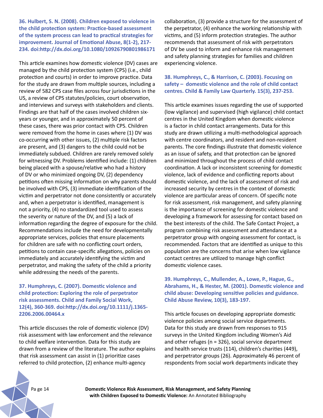**36. Hulbert, S. N. (2008). Children exposed to violence in the child protection system: Practice-based assessment of the system process can lead to practical strategies for improvement. Journal of Emotional Abuse, 8(1-2), 217- 234. doi:http://dx.doi.org/10.1080/10926790801986171**

This article examines how domestic violence (DV) cases are managed by the child protection system (CPS) (i.e., child protection and courts) in order to improve practice. Data for the study are drawn from multiple sources, including a review of 582 CPS case files across four jurisdictions in the US, a review of CPS statutes/policies, court observation, and interviews and surveys with stakeholders and clients. Findings are that half of the cases involved children sixyears or younger, and in approximately 50 percent of these cases, there was prior contact with CPS. Children were removed from the home in cases where (1) DV was co-occurring with other issues, (2) multiple risk factors are present, and (3) dangers to the child could not be immediately subdued. Children are rarely removed solely for witnessing DV. Problems identified include: (1) children being placed with a spouse/relative who had a history of DV or who minimized ongoing DV, (2) dependency petitions often missing information on why parents should be involved with CPS, (3) immediate identification of the victim and perpetrator not done consistently or accurately and, when a perpetrator is identified, management is not a priority, (4) no standardized tool used to assess the severity or nature of the DV, and (5) a lack of information regarding the degree of exposure for the child. Recommendations include the need for developmentally appropriate services, policies that ensure placements for children are safe with no conflicting court orders, petitions to contain case-specific allegations, policies on immediately and accurately identifying the victim and perpetrator, and making the safety of the child a priority while addressing the needs of the parents.

**37. Humphreys, C. (2007). Domestic violence and child protection: Exploring the role of perpetrator risk assessments. Child and Family Social Work, 12(4), 360-369. doi:http://dx.doi.org/10.1111/j.1365- 2206.2006.00464.x**

This article discusses the role of domestic violence (DV) risk assessment with law enforcement and the relevance to child welfare intervention. Data for this study are drawn from a review of the literature. The author explains that risk assessment can assist in (1) prioritize cases referred to child protection, (2) enhance multi-agency

collaboration, (3) provide a structure for the assessment of the perpetrator, (4) enhance the working relationship with victims, and (5) inform protection strategies. The author recommends that assessment of risk with perpetrators of DV be used to inform and enhance risk management and safety planning strategies for families and children experiencing violence.

## **38. Humphreys, C., & Harrison, C. (2003). Focusing on safety – domestic violence and the role of child contact centres. Child & Family Law Quarterly. 15(3), 237-253.**

This article examines issues regarding the use of supported (low vigilance) and supervised (high vigilance) child contact centres in the United Kingdom when domestic violence is a factor in child contact arrangements. Data for this study are drawn utilizing a multi-methodological approach with centre coordinators, and resident and non-resident parents. The core findings illustrate that domestic violence as an issue of safety, and that protection can be ignored and minimized throughout the process of child contact coordination. A lack or inconsistent screening for domestic violence, lack of evidence and conflicting reports about domestic violence, and the lack of assessment of risk and increased security by centres in the context of domestic violence are particular areas of concern. Of specific note for risk assessment, risk management, and safety planning is the importance of screening for domestic violence and developing a framework for assessing for contact based on the best interests of the child. The Safe Contact Project, a program combining risk assessment and attendance at a perpetrator group with ongoing assessment for contact, is recommended. Factors that are identified as unique to this population are the concerns that arise when low vigilance contact centres are utilized to manage high conflict domestic violence cases.

**39. Humphreys, C., Mullender, A., Lowe, P., Hague, G., Abrahams, H., & Hester, M. (2001). Domestic violence and child abuse: Developing sensitive policies and guidance. Child Abuse Review, 10(3), 183-197.**

This article focuses on developing appropriate domestic violence policies among social service departments. Data for this study are drawn from responses to 915 surveys in the United Kingdom including Women's Aid and other refuges (n = 326), social service department and health service trusts (114), children's charities (449), and perpetrator groups (26). Approximately 46 percent of respondents from social work departments indicate they

Pa ge 14 **Domestic Violence Risk Assessment, Risk Management, and Safety Planning with Children Exposed to Domestic Violence:** An Annotated Bibliography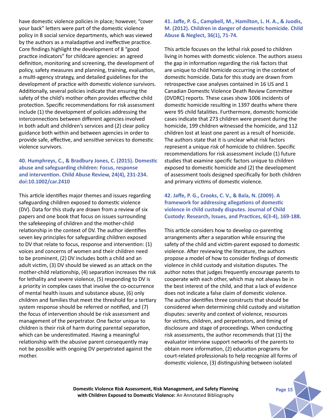have domestic violence policies in place; however, "cover your back" letters were part of the domestic violence policy in 8 social service departments, which was viewed by the authors as a maladaptive and ineffective practice. Core findings highlight the development of 8 "good practice indicators" for childcare agencies: an agreed definition, monitoring and screening, the development of policy, safety measures and planning, training, evaluation, a multi-agency strategy, and detailed guidelines for the development of practice with domestic violence survivors. Additionally, several policies indicate that ensuring the safety of the child's mother often provides effective child protection. Specific recommendations for risk assessment include (1) the development of policies addressing the interconnections between different agencies involved in both adult and children's services and (2) clear policy guidance both within and between agencies in order to provide safe, effective, and sensitive services to domestic violence survivors.

## **40. Humphreys, C., & Bradbury Jones, C. (2015). Domestic abuse and safeguarding children: Focus, response and intervention. Child Abuse Review, 24(4), 231-234. doi:10.1002/car.2410**

This article identifies major themes and issues regarding safeguarding children exposed to domestic violence (DV). Data for this study are drawn from a review of six papers and one book that focus on issues surrounding the safekeeping of children and the mother-child relationship in the context of DV. The author identifies seven key principles for safeguarding children exposed to DV that relate to focus, response and intervention: (1) voices and concerns of women and their children need to be prominent, (2) DV includes both a child and an adult victim, (3) DV should be viewed as an attack on the mother-child relationship, (4) separation increases the risk for lethality and severe violence, (5) responding to DV is a priority in complex cases that involve the co-occurrence of mental health issues and substance abuse, (6) only children and families that meet the threshold for a tertiary system response should be referred or notified, and (7) the focus of intervention should be risk assessment and management of the perpetrator. One factor unique to children is their risk of harm during parental separation, which can be underestimated. Having a meaningful relationship with the abusive parent consequently may not be possible with ongoing DV perpetrated against the mother.

# **41. Jaffe, P. G., Campbell, M., Hamilton, L. H. A., & Juodis, M. (2012). Children in danger of domestic homicide. Child Abuse & Neglect, 36(1), 71-74.**

This article focuses on the lethal risk posed to children living in homes with domestic violence. The authors assess the gap in information regarding the risk factors that are unique to child homicide occurring in the context of domestic homicide. Data for this study are drawn from retrospective case analyses contained in 16 US and 1 Canadian Domestic Violence Death Review Committee (DVDRC) reports. These cases show 1006 incidents of domestic homicide resulting in 1397 deaths where there were 95 child fatalities. Furthermore, domestic homicide cases indicate that 273 children were present during the homicide, 199 children witnessed the homicide, and 112 children lost at least one parent as a result of homicide. The authors state that it is unclear what risk factors represent a unique risk of homicide to children. Specific recommendations for risk assessment include (1) future studies that examine specific factors unique to children exposed to domestic homicide and (2) the development of assessment tools designed specifically for both children and primary victims of domestic violence.

## **42. Jaffe, P. G., Crooks, C. V., & Bala, N. (2009). A framework for addressing allegations of domestic violence in child custody disputes. Journal of Child Custody: Research, Issues, and Practices, 6(3-4), 169-188.**

This article considers how to develop co-parenting arrangements after a separation while ensuring the safety of the child and victim-parent exposed to domestic violence. After reviewing the literature, the authors propose a model of how to consider findings of domestic violence in child custody and visitation disputes. The author notes that judges frequently encourage parents to cooperate with each other, which may not always be in the best interest of the child, and that a lack of evidence does not indicate a false claim of domestic violence. The author identifies three constructs that should be considered when determining child custody and visitation disputes: severity and context of violence, resources for victims, children, and perpetrators, and timing of disclosure and stage of proceedings. When conducting risk assessments, the author recommends that (1) the evaluator interview support networks of the parents to obtain more information, (2) education programs for court-related professionals to help recognize all forms of domestic violence, (3) distinguishing between isolated

**Domestic Violence Risk Assessment, Risk Management, and Safety Planning Page 15 with Children Exposed to Domestic Violence:** An Annotated Bibliography

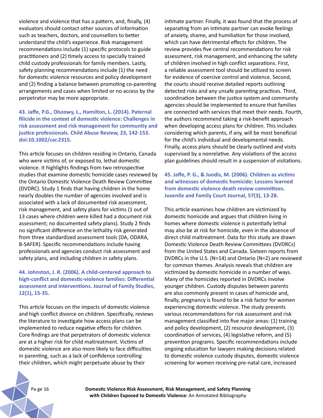violence and violence that has a pattern, and, finally, (4) evaluators should contact other sources of information such as teachers, doctors, and counsellors to better understand the child's experience. Risk management recommendations include (1) specific protocols to guide practitioners and (2) timely access to specially trained child custody professionals for family members. Lastly, safety planning recommendations include (1) the need for domestic violence resources and policy development and (2) finding a balance between promoting co-parenting arrangements and cases when limited or no access by the perpetrator may be more appropriate.

**43. Jaffe, P.G., Olszowy, L., Hamilton, L. (2014). Paternal filicide in the context of domestic violence: Challenges in risk assessment and risk management for community and justice professionals. Child Abuse Review, 23, 142-153. doi:10.1002/car.2315.**

This article focuses on children residing in Ontario, Canada who were victims of, or exposed to, lethal domestic violence. It highlights findings from two retrospective studies that examine domestic homicide cases reviewed by the Ontario Domestic Violence Death Review Committee (DVDRC). Study 1 finds that having children in the home nearly doubles the number of agencies involved and is associated with a lack of documented risk assessment, risk management, and safety plans for victims (1 out of 13 cases where children were killed had a document risk assessment; no documented safety plans). Study 2 finds no significant difference on the lethality risk generated from three standardized assessment tools (DA, ODARA, B-SAFER). Specific recommendations include having professionals and agencies conduct risk assessment and safety plans, and including children in safety plans.

**44. Johnston, J. R. (2006). A child-centered approach to high-conflict and domestic-violence families: Differential assessment and interventions. Journal of Family Studies, 12(1), 15-35.** 

This article focuses on the impacts of domestic violence and high conflict divorce on children. Specifically, reviews the literature to investigate how access plans can be implemented to reduce negative effects for children. Core findings are that perpetrators of domestic violence are at a higher risk for child maltreatment. Victims of domestic violence are also more likely to face difficulties in parenting, such as a lack of confidence controlling their children, which might perpetuate abuse by their

intimate partner. Finally, it was found that the process of separating from an intimate partner can evoke feelings of anxiety, shame, and humiliation for those involved, which can have detrimental effects for children. The review provides five central recommendations for risk assessment, risk management, and enhancing the safety of children involved in high conflict separations. First, a reliable assessment tool should be utilized to screen for evidence of coercive control and violence. Second, the courts should receive detailed reports outlining detected risks and any unsafe parenting practices. Third, coordination between the justice system and community agencies should be implemented to ensure that families are connected with services that meet their needs. Fourth, the authors recommend taking a risk-benefit approach when developing access plans for children. This includes considering which parents, if any, will be most beneficial for the child's individual and developmental needs. Finally, access plans should be clearly outlined and visits supervised by a nonrelative. Any violations of the access plan guidelines should result in a suspension of visitations.

**45. Jaffe, P. G., & Juodis, M. (2006). Children as victims and witnesses of domestic homicide: Lessons learned from domestic violence death review committees. Juvenile and Family Court Journal, 57(3), 13-28.**

This article examines how children are victimized by domestic homicide and argues that children living in homes where domestic violence is potentially lethal may also be at risk for homicide, even in the absence of direct child maltreatment. Data for this study are drawn Domestic Violence Death Review Committees (DVDRCs) from the United States and Canada. Sixteen reports from DVDRCs in the U.S. (N=14) and Ontario (N=2) are reviewed for common themes. Analysis reveals that children are victimized by domestic homicide in a number of ways. Many of the homicides reported in DVDRCs involve younger children. Custody disputes between parents are also commonly present in cases of homicide and, finally, pregnancy is found to be a risk factor for women experiencing domestic violence. The study presents various recommendations for risk assessment and risk management classified into five major areas: (1) training and policy development, (2) resource development, (3) coordination of services, (4) legislative reform, and (5) prevention programs. Specific recommendations include ongoing education for lawyers making decisions related to domestic violence custody disputes, domestic violence screening for women receiving pre-natal care, increased

Pa ge 16 **Domestic Violence Risk Assessment, Risk Management, and Safety Planning with Children Exposed to Domestic Violence:** An Annotated Bibliography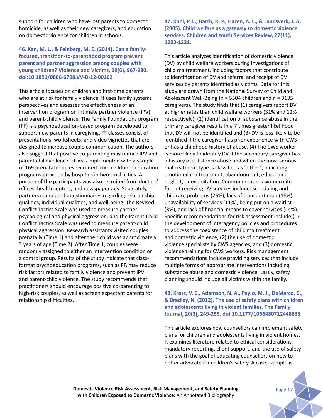support for children who have lost parents to domestic homicide, as well as their new caregivers, and education on domestic violence for children in schools.

## **46. Kan, M. L., & Feinberg, M. E. (2014). Can a familyfocused, transition-to-parenthood program prevent parent and partner aggression among couples with young children? Violence and Victims, 29(6), 967-980. doi:10.1891/0886-6708.VV-D-12-00162**

This article focuses on children and first-time parents who are at risk for family violence. It uses family systems perspectives and assesses the effectiveness of an intervention program on intimate partner violence (IPV) and parent-child violence. The Family Foundations program (FF) is a psychoeducation-based program developed to support new parents in caregiving. FF classes consist of presentations, worksheets, and video vignettes that are designed to increase couple communication. The authors also suggest that positive co-parenting may reduce IPV and parent-child violence. FF was implemented with a sample of 169 prenatal couples recruited from childbirth education programs provided by hospitals in two small cities. A portion of the participants was also recruited from doctors' offices, health centers, and newspaper ads. Separately, partners completed questionnaires regarding relationship qualities, individual qualities, and well-being. The Revised Conflict Tactics Scale was used to measure partner psychological and physical aggression, and the Parent-Child Conflict Tactics Scale was used to measure parent-child physical aggression. Research assistants visited couples prenatally (Time 1) and after their child was approximately 3 years of age (Time 2). After Time 1, couples were randomly assigned to either an intervention condition or a control group. Results of the study indicate that classformat psychoeducation programs, such as FF, may reduce risk factors related to family violence and prevent IPV and parent-child violence. The study recommends that practitioners should encourage positive co-parenting to high-risk couples, as well as screen expectant parents for relationship difficulties.

**47. Kohl, P. L., Barth, R. P., Hazen, A. L., & Landsverk, J. A. (2005). Child welfare as a gateway to domestic violence services. Children and Youth Services Review, 27(11), 1203-1221.** 

This article analyzes identification of domestic violence (DV) by child welfare workers during investigations of child maltreatment, including factors that contribute to identification of DV and referral and receipt of DV services by parents identified as victims. Data for this study are drawn from the National Survey of Child and Adolescent Well-Being (n = 5504 children and n = 3135 caregivers). The study finds that (1) caregivers report DV at higher rates than child welfare workers (31% and 12% respectively), (2) identification of substance abuse in the primary caregiver results in a 7 times greater likelihood that DV will not be identified and (3) DV is less likely to be identified if the caregiver has prior experience with CWS or has a childhood history of abuse, (4) The CWS worker is more likely to identify DV if the secondary caregiver has a history of substance abuse and when the most serious maltreatment type is classified as "other", indicating emotional maltreatment, abandonment, educational neglect, or exploitation. Common reasons women cite for not receiving DV services include: scheduling and childcare problems (26%), lack of transportation (18%), unavailability of services (11%), being put on a waitlist (3%), and lack of financial means to cover services (14%). Specific recommendations for risk assessment include,(1) the development of interagency policies and procedures to address the coexistence of child maltreatment and domestic violence, (2) the use of domestic violence specialists by CWS agencies, and (3) domestic violence training for CWS workers. Risk management recommendations include providing services that include multiple forms of appropriate interventions including substance abuse and domestic violence. Lastly, safety planning should include all victims within the family.

**48. Kress, V. E., Adamson, N. A., Paylo, M. J., DeMarco, C., & Bradley, N. (2012). The use of safety plans with children and adolescents living in violent families. The Family Journal, 20(3), 249-255. doi:10.1177/1066480712448833**

This article explores how counsellors can implement safety plans for children and adolescents living in violent homes. It examines literature related to ethical considerations, mandatory reporting, client support, and the use of safety plans with the goal of educating counsellors on how to better advocate for children's safety. A case example is

**Domestic Violence Risk Assessment, Risk Management, and Safety Planning Page 17** Page 17 **with Children Exposed to Domestic Violence:** An Annotated Bibliography

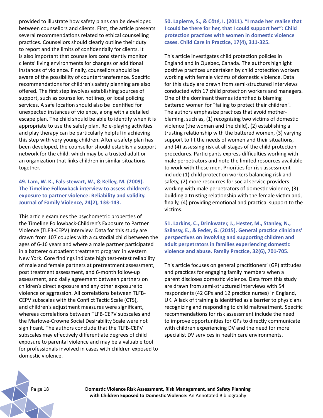provided to illustrate how safety plans can be developed between counsellors and clients. First, the article presents several recommendations related to ethical counselling practices. Counsellors should clearly outline their duty to report and the limits of confidentially for clients. It is also important that counsellors consistently monitor clients' living environments for changes or additional instances of violence. Finally, counsellors should be aware of the possibility of countertransference. Specific recommendations for children's safety planning are also offered. The first step involves establishing sources of support, such as counsellor, hotlines, or local policing services. A safe location should also be identified for unexpected instances of violence, along with a detailed escape plan. The child should be able to identify when it is appropriate to use the safety plan. Role-playing activities and play therapy can be particularly helpful in achieving this step with very young children. After a safety plan has been developed, the counsellor should establish a support network for the child, which may be a trusted adult or an organization that links children in similar situations together.

**49. Lam, W. K., Fals-stewart, W., & Kelley, M. (2009). The Timeline Followback interview to assess children's exposure to partner violence: Reliability and validity. Journal of Family Violence, 24(2), 133-143.**

This article examines the psychometric properties of the Timeline Followback-Children's Exposure to Partner Violence (TLFB-CEPV) Interview. Data for this study are drawn from 107 couples with a custodial child between the ages of 6-16 years and where a male partner participated in a batterer outpatient treatment program in western New York. Core findings indicate high test-retest reliability of male and female partners at pretreatment assessment, post treatment assessment, and 6-month follow-up assessment, and daily agreement between partners on children's direct exposure and any other exposure to violence or aggression. All correlations between TLFB-CEPV subscales with the Conflict Tactic Scale (CTS), and children's adjustment measures were significant, whereas correlations between TLFB-CEPV subscales and the Marlowe-Crowne Social Desirability Scale were not significant. The authors conclude that the TLFB-CEPV subscales may effectively differentiate degrees of child exposure to parental violence and may be a valuable tool for professionals involved in cases with children exposed to domestic violence.

**50. Lapierre, S., & Côté, I. (2011). "I made her realise that I could be there for her, that I could support her": Child protection practices with women in domestic violence cases. Child Care in Practice, 17(4), 311-325.**

This article investigates child protection policies in England and in Quebec, Canada. The authors highlight positive practices undertaken by child protection workers working with female victims of domestic violence. Data for this study are drawn from semi-structured interviews conducted with 17 child protection workers and managers. One of the dominant themes identified is blaming battered women for "failing to protect their children". The authors emphasize practices that avoid motherblaming, such as, (1) recognizing two victims of domestic violence (the woman and the child), (2) establishing a trusting relationship with the battered women, (3) varying support to fit the needs of women and their situations, and (4) assessing risk at all stages of the child protection procedures. Participants express difficulties working with male perpetrators and note the limited resources available to work with these men. Priorities for risk assessment include (1) child protection workers balancing risk and safety, (2) more resources for social service providers working with male perpetrators of domestic violence, (3) building a trusting relationship with the female victim and, finally, (4) providing emotional and practical support to the victims.

**51. Larkins, C., Drinkwater, J., Hester, M., Stanley, N., Szilassy, E., & Feder, G. (2015). General practice clinicians' perspectives on involving and supporting children and adult perpetrators in families experiencing domestic violence and abuse. Family Practice, 32(6), 701-705.**

This article focuses on general practitioners' (GP) attitudes and practices for engaging family members when a parent discloses domestic violence. Data from this study are drawn from semi-structured interviews with 54 respondents (42 GPs and 12 practice nurses) in England, UK. A lack of training is identified as a barrier to physicians recognizing and responding to child maltreatment. Specific recommendations for risk assessment include the need to improve opportunities for GPs to directly communicate with children experiencing DV and the need for more specialist DV services in health care environments.

Pa ge 18 **Domestic Violence Risk Assessment, Risk Management, and Safety Planning with Children Exposed to Domestic Violence:** An Annotated Bibliography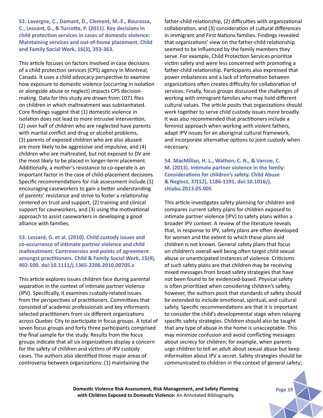**52. Lavergne, C., Damant, D., Clement, M.-E., Bourassa, C., Lessard, G., & Turcotte, P. (2011). Key decisions in child protection services in cases of domestic violence: Maintaining services and out-of-home placement. Child and Family Social Work, 16(3), 353-363.**

This article focuses on factors involved in case decisions of a child protection services (CPS) agency in Montreal, Canada. It uses a child advocacy perspective to examine how exposure to domestic violence (occurring in isolation or alongside abuse or neglect) impacts CPS decisionmaking. Data for this study are drawn from 1071 files on children in which maltreatment was substantiated. Core findings suggest that (1) domestic violence in isolation does not lead to more intrusive intervention, (2) over half of children who are neglected have parents with marital conflict and drug or alcohol problems, (3) parents of exposed children who are also abused are more likely to be aggressive and impulsive, and (4) children who are maltreated, but not exposed to DV are the most likely to be placed in longer-term placement. Additionally, a mother's resistance to co-operate is an important factor in the case of child-placement decisions. Specific recommendations for risk assessment include (1) encouraging caseworkers to gain a better understanding of parents' resistance and strive to foster a relationship centered on trust and support, (2) training and clinical support for caseworkers, and (3) using the motivational approach to assist caseworkers in developing a good alliance with families.

#### **53. Lessard, G. et al. (2010). Child custody issues and co-occurrence of intimate partner violence and child maltreatment: Controversies and points of agreement amongst practitioners. Child & Family Social Work, 15(4), 492-500. doi:10.1111/j.1365-2206.2010.00705.x**

This article explores issues children face during parental separation in the context of intimate partner violence (IPV). Specifically, it examines custody-related issues from the perspectives of practitioners. Committees that consisted of academic professionals and key informants selected practitioners from six different organizations across Quebec City to participate in focus groups. A total of seven focus groups and forty three participants comprised the final sample for the study. Results from the focus groups indicate that all six organizations display a concern for the safety of children and victims of IPV custody cases. The authors also identified three major areas of controversy between organizations: (1) maintaining the

father-child relationship, (2) difficulties with organizational collaboration, and (3) consideration of cultural differences in immigrant and First Nations families. Findings revealed that organizations' view on the father-child relationship seemed to be influenced by the family members they serve. For example, Child Protection Services prioritize victim safety and were less concerned with promoting a father-child relationship. Participants also expressed that power imbalances and a lack of information between organizations often creates difficulty for collaboration of services. Finally, focus groups discussed the challenges of working with immigrant families who may hold different cultural values. The article posits that organizations should work together to serve child custody issues more broadly. It was also recommended that practitioners include a feminist approach when working with violent fathers, adapt IPV issues for an aboriginal cultural framework, and incorporate alternative options to joint custody when necessary.

**54. MacMillan, H. L., Wathen, C. N., & Varcoe, C. M. (2013). Intimate partner violence in the family: Considerations for children's safety. Child Abuse & Neglect, 37(12), 1186-1191. doi:10.1016/j. chiabu.2013.05.005**

This article investigates safety planning for children and compares current safety plans for children exposed to intimate partner violence (IPV) to safety plans within a broader IPV context. A review of the literature reveals that, in response to IPV, safety plans are often developed for women and the extent to which these plans aid children is not known. General safety plans that focus on children's overall well being often target child sexual abuse or unanticipated instances of violence. Criticisms of such safety plans are that children may be receiving mixed messages from broad safety strategies that have not been found to be evidenced-based. Physical safety is often prioritized when considering children's safety, however, the authors posit that standards of safety should be extended to include emotional, spiritual, and cultural safety. Specific recommendations are that it is important to consider the child's developmental stage when relaying specific safety strategies. Children should also be taught that any type of abuse in the home is unacceptable. This may minimize confusion and avoid conflicting messages about secrecy for children; for example, when parents urge children to tell an adult about sexual abuse but keep information about IPV a secret. Safety strategies should be communicated to children in the context of general safety;

**Domestic Violence Risk Assessment, Risk Management, and Safety Planning Page 19** Page 19 **with Children Exposed to Domestic Violence:** An Annotated Bibliography

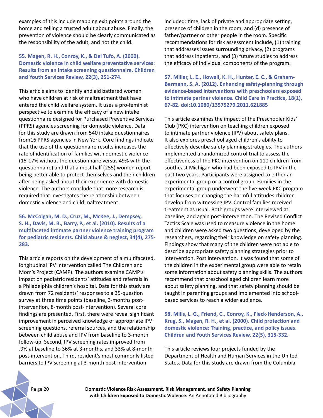examples of this include mapping exit points around the home and telling a trusted adult about abuse. Finally, the prevention of violence should be clearly communicated as the responsibility of the adult, and not the child.

## **55. Magen, R. H., Conroy, K., & Del Tufo, A. (2000). Domestic violence in child welfare preventative services: Results from an intake screening questionnaire. Children and Youth Services Review, 22(3), 251-274.**

This article aims to identify and aid battered women who have children at risk of maltreatment that have entered the child welfare system. It uses a pro-feminist perspective to examine the efficacy of a new intake questionnaire designed for Purchased Preventive Services (PPRS) agencies screening for domestic violence. Data for this study are drawn from 540 intake questionnaires from16 PPRS agencies in New York. Core findings indicate that the use of the questionnaire results increases the rate of identification of families with domestic violence (15-17% without the questionnaire versus 49% with the questionnaire) and that almost half (255) women report being better able to protect themselves and their children after being asked about their experience with domestic violence. The authors conclude that more research is required that investigates the relationship between domestic violence and child maltreatment.

**56. McColgan, M. D., Cruz, M., McKee, J., Dempsey, S. H., Davis, M. B., Barry, P., et al. (2010). Results of a multifaceted intimate partner violence training program for pediatric residents. Child abuse & neglect, 34(4), 275- 283.**

This article reports on the development of a multifaceted, longitudinal IPV intervention called The Children and Mom's Project (CAMP). The authors examine CAMP's impact on pediatric residents' attitudes and referrals in a Philadelphia children's hospital. Data for this study are drawn from 72 residents' responses to a 35-question survey at three time points (baseline, 3-months postintervention, 8-month post-intervention). Several core findings are presented. First, there were reveal significant improvement in perceived knowledge of appropriate IPV screening questions, referral sources, and the relationship between child abuse and IPV from baseline to 3-month follow-up. Second, IPV screening rates improved from .9% at baseline to 36% at 3-months, and 33% at 8-month post-intervention. Third, resident's most commonly listed barriers to IPV screening at 3-month post-intervention

included: time, lack of private and appropriate setting, presence of children in the room, and (d) presence of father/partner or other people in the room. Specific recommendations for risk assessment include, (1) training that addresses issues surrounding privacy, (2) programs that address inpatients, and (3) future studies to address the efficacy of individual components of the program.

**57. Miller, L. E., Howell, K. H., Hunter, E. C., & Graham-Bermann, S. A. (2012). Enhancing safety-planning through evidence-based interventions with preschoolers exposed to intimate partner violence. Child Care in Practice, 18(1), 67-82. doi:10.1080/13575279.2011.621885**

This article examines the impact of the Preschooler Kids' Club (PKC) intervention on teaching children exposed to intimate partner violence (IPV) about safety plans. It also explores preschool aged children's ability to effectively describe safety planning strategies. The authors implemented a randomized control trial to assess the effectiveness of the PKC intervention on 110 children from southeast Michigan who had been exposed to IPV in the past two years. Participants were assigned to either an experimental group or a control group. Families in the experimental group underwent the five-week PKC program that focuses on changing the harmful attitudes children develop from witnessing IPV. Control families received treatment as usual. Both groups were interviewed at baseline, and again post-intervention. The Revised Conflict Tactics Scale was used to measure violence in the home and children were asked two questions, developed by the researchers, regarding their knowledge on safety planning. Findings show that many of the children were not able to describe appropriate safety planning strategies prior to intervention. Post intervention, it was found that some of the children in the experimental group were able to retain some information about safety planning skills. The authors recommend that preschool aged children learn more about safety planning, and that safety planning should be taught in parenting groups and implemented into schoolbased services to reach a wider audience.

**58. Mills, L. G., Friend, C., Conroy, K., Fleck-Henderson, A., Krug, S., Magen, R. H., et al. (2000). Child protection and domestic violence: Training, practice, and policy issues. Children and Youth Services Review, 22(5), 315-332.**

This article reviews four projects funded by the Department of Health and Human Services in the United States. Data for this study are drawn from the Columbia

Pa ge 20 **Domestic Violence Risk Assessment, Risk Management, and Safety Planning with Children Exposed to Domestic Violence:** An Annotated Bibliography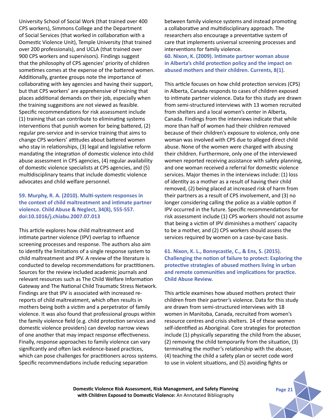University School of Social Work (that trained over 400 CPS workers), Simmons College and the Department of Social Services (that worked in collaboration with a Domestic Violence Unit), Temple University (that trained over 200 professionals), and UCLA (that trained over 900 CPS workers and supervisors). Findings suggest that the philosophy of CPS agencies' priority of children sometimes comes at the expense of the battered women. Additionally, grantee groups note the importance of collaborating with key agencies and having their support, but that CPS workers' are apprehensive of training that places additional demands on their job, especially when the training suggestions are not viewed as feasible. Specific recommendations for risk assessment include (1) training that can contribute to eliminating systems interventions that punish women for being battered, (2) regular pre-service and in-service training that aims to change CPS workers' attitudes about battered women who stay in relationships, (3) legal and legislative reform mandating the integration of domestic violence into child abuse assessment in CPS agencies, (4) regular availability of domestic violence specialists at CPS agencies, and (5) multidisciplinary teams that include domestic violence advocates and child welfare personnel.

#### **59. Murphy, R. A. (2010). Multi-system responses in the context of child maltreatment and intimate partner violence. Child Abuse & Neglect, 34(8), 555-557. doi:10.1016/j.chiabu.2007.07.013**

This article explores how child maltreatment and intimate partner violence (IPV) overlap to influence screening processes and response. The authors also aim to identify the limitations of a single response system to child maltreatment and IPV. A review of the literature is conducted to develop recommendations for practitioners. Sources for the review included academic journals and relevant resources such as The Child Welfare Information Gateway and The National Child Traumatic Stress Network. Findings are that IPV is associated with increased rereports of child maltreatment, which often results in mothers being both a victim and a perpetrator of family violence. It was also found that professional groups within the family violence field (e.g. child protection services and domestic violence providers) can develop narrow views of one another that may impact response effectiveness. Finally, response approaches to family violence can vary significantly and often lack evidence-based practices, which can pose challenges for practitioners across systems. Specific recommendations include reducing separation

between family violence systems and instead promoting a collaborative and multidisciplinary approach. The researchers also encourage a preventative system of care that implements universal screening processes and interventions for family violence. **60. Nixon, K. (2009). Intimate partner woman abuse** 

**in Alberta's child protection policy and the impact on abused mothers and their children. Currents, 8(1).**

This article focuses on how child protection services (CPS) in Alberta, Canada responds to cases of children exposed to intimate partner violence. Data for this study are drawn from semi-structured interviews with 13 women recruited from shelters and a local women's center in Alberta, Canada. Findings from the interviews indicate that while more than half of women had their children removed because of their children's exposure to violence, only one woman was involved with CPS due to alleged direct child abuse. None of the women were charged with abusing their children. Furthermore, only one of the interviewed women reported receiving assistance with safety planning, and one woman received a referral for domestic violence services. Major themes in the interviews include: (1) loss of identity as a mother as a result of having their child removed, (2) being placed at increased risk of harm from their partners as a result of CPS involvement, and (3) no longer considering calling the police as a viable option if IPV occurred in the future. Specific recommendations for risk assessment include (1) CPS workers should not assume that being a victim of IPV diminishes a mothers' capacity to be a mother, and (2) CPS workers should assess the services required by women on a case-by-case basis.

**61. Nixon, K. L., Bonnycastle, C., & Ens, S. (2015). Challenging the notion of failure to protect: Exploring the protective strategies of abused mothers living in urban and remote communities and implications for practice. Child Abuse Review.**

This article examines how abused mothers protect their children from their partner's violence. Data for this study are drawn from semi-structured interviews with 18 women in Manitoba, Canada, recruited from women's resource centres and crisis shelters. 14 of these women self-identified as Aboriginal. Core strategies for protection include (1) physically separating the child from the abuser, (2) removing the child temporarily from the situation, (3) terminating the mother's relationship with the abuser, (4) teaching the child a safety plan or secret code word to use in violent situations, and (5) avoiding fights or

**Domestic Violence Risk Assessment, Risk Management, and Safety Planning Page 21 with Children Exposed to Domestic Violence:** An Annotated Bibliography

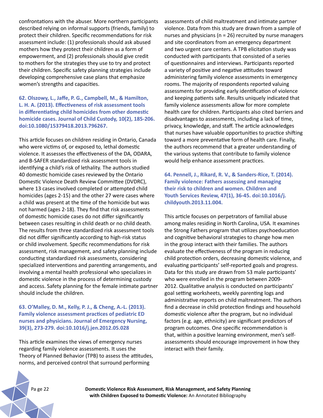confrontations with the abuser. More northern participants described relying on informal supports (friends, family) to protect their children. Specific recommendations for risk assessment include: (1) professionals should ask abused mothers how they protect their children as a form of empowerment, and (2) professionals should give credit to mothers for the strategies they use to try and protect their children. Specific safety planning strategies include developing comprehensive case plans that emphasize women's strengths and capacities.

#### **62. Olszowy, L., Jaffe, P. G., Campbell, M., & Hamilton, L. H. A. (2013). Effectiveness of risk assessment tools in differentiating child homicides from other domestic homicide cases. Journal of Child Custody, 10(2), 185-206. doi:10.1080/15379418.2013.796267.**

This article focuses on children residing in Ontario, Canada who were victims of, or exposed to, lethal domestic violence. It assesses the effectiveness of the DA, ODARA, and B-SAFER standardized risk assessment tools in identifying a child's risk of lethality. The authors studied 40 domestic homicide cases reviewed by the Ontario Domestic Violence Death Review Committee (DVDRC), where 13 cases involved completed or attempted child homicides (ages 2-15) and the other 27 were cases where a child was present at the time of the homicide but was not harmed (ages 2-18). They find that risk assessments of domestic homicide cases do not differ significantly between cases resulting in child death or no child death. The results from three standardized risk assessment tools did not differ significantly according to high-risk status or child involvement. Specific recommendations for risk assessment, risk management, and safety planning include conducting standardized risk assessments, considering specialized interventions and parenting arrangements, and involving a mental health professional who specializes in domestic violence in the process of determining custody and access. Safety planning for the female intimate partner should include the children.

#### **63. O'Malley, D. M., Kelly, P. J., & Cheng, A.-L. (2013). Family violence assessment practices of pediatric ED nurses and physicians. Journal of Emergency Nursing, 39(3), 273-279. doi:10.1016/j.jen.2012.05.028**

This article examines the views of emergency nurses regarding family violence assessments. It uses the Theory of Planned Behavior (TPB) to assess the attitudes, norms, and perceived control that surround performing

assessments of child maltreatment and intimate partner violence. Data from this study are drawn from a sample of nurses and physicians ( $n = 26$ ) recruited by nurse managers and site coordinators from an emergency department and two urgent care centers. A TPB elicitation study was conducted with participants that consisted of a series of questionnaires and interviews. Participants reported a variety of positive and negative attitudes toward administering family violence assessments in emergency rooms. The majority of respondents reported valuing assessments for providing early identification of violence and keeping patients safe. Results uniquely indicated that family violence assessments allow for more complete health care for children. Participants also cited barriers and disadvantages to assessments, including a lack of time, privacy, knowledge, and staff. The article acknowledges that nurses have valuable opportunities to practice shifting toward a more preventative form of health care. Finally, the authors recommend that a greater understanding of the various systems that contribute to family violence would help enhance assessment practices.

**64. Pennell, J., Rikard, R. V., & Sanders-Rice, T. (2014). Family violence: Fathers assessing and managing their risk to children and women. Children and Youth Services Review, 47(1), 36-45. doi:10.1016/j. childyouth.2013.11.004.**

This article focuses on perpetrators of familial abuse among males residing in North Carolina, USA. It examines the Strong Fathers program that utilizes psychoeducation and cognitive behavioral strategies to change how men in the group interact with their families. The authors evaluate the effectiveness of the program in reducing child protection orders, decreasing domestic violence, and evaluating participants' self-reported goals and progress. Data for this study are drawn from 53 male participants' who were enrolled in the program between 2009- 2012. Qualitative analysis is conducted on participants' goal setting worksheets, weekly parenting logs and administrative reports on child maltreatment. The authors find a decrease in child protection findings and household domestic violence after the program, but no individual factors (e.g. age, ethnicity) are significant predictors of program outcomes. One specific recommendation is that, within a positive learning environment, men's selfassessments should encourage improvement in how they interact with their family.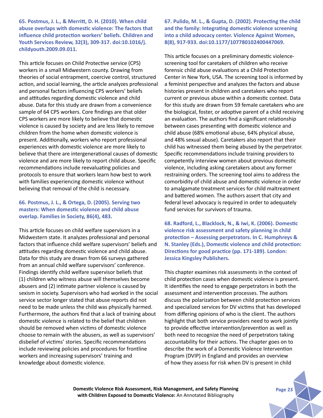**65. Postmus, J. L., & Merritt, D. H. (2010). When child abuse overlaps with domestic violence: The factors that influence child protection workers' beliefs. Children and Youth Services Review, 32(3), 309-317. doi:10.1016/j. childyouth.2009.09.011.**

This article focuses on Child Protective service (CPS) workers in a small Midwestern county. Drawing from theories of social entrapment, coercive control, structured action, and social learning, the article analyzes professional and personal factors influencing CPS workers' beliefs and attitudes regarding domestic violence and child abuse. Data for this study are drawn from a convenience sample of 64 CPS workers. Core findings are that older CPS workers are more likely to believe that domestic violence is caused by society and are less likely to remove children from the home when domestic violence is present. Additionally, workers who report professional experiences with domestic violence are more likely to believe that there are intergenerational causes of domestic violence and are more likely to report child abuse. Specific recommendations include reevaluating policies and protocols to ensure that workers learn how best to work with families experiencing domestic violence without believing that removal of the child is necessary.

#### **66. Postmus, J. L., & Ortega, D. (2005). Serving two masters: When domestic violence and child abuse overlap. Families in Society, 86(4), 483.**

This article focuses on child welfare supervisors in a Midwestern state. It analyzes professional and personal factors that influence child welfare supervisors' beliefs and attitudes regarding domestic violence and child abuse. Data for this study are drawn from 66 surveys gathered from an annual child welfare supervisors' conference. Findings identify child welfare supervisor beliefs that (1) children who witness abuse will themselves become abusers and (2) intimate partner violence is caused by sexism in society. Supervisors who had worked in the social service sector longer stated that abuse reports did not need to be made unless the child was physically harmed. Furthermore, the authors find that a lack of training about domestic violence is related to the belief that children should be removed when victims of domestic violence choose to remain with the abusers, as well as supervisors' disbelief of victims' stories. Specific recommendations include reviewing policies and procedures for frontline workers and increasing supervisors' training and knowledge about domestic violence.

**67. Pulido, M. L., & Gupta, D. (2002). Protecting the child and the family: Integrating domestic violence screening into a child advocacy center. Violence Against Women, 8(8), 917-933. doi:10.1177/107780102400447069.**

This article focuses on a preliminary domestic violencescreening tool for caretakers of children who receive forensic child abuse evaluations at a Child Protection Center in New York, USA. The screening tool is informed by a feminist perspective and analyzes the factors and abuse histories present in children and caretakers who report current or previous abuse within a domestic context. Data for this study are drawn from 59 female caretakers who are the biological, foster, or adoptive parent of a child receiving an evaluation. The authors find a significant relationship between cases presenting with domestic violence and child abuse (68% emotional abuse, 64% physical abuse, and 48% sexual abuse). Caretakers also report that their child has witnessed them being abused by the perpetrator. Specific recommendations include training providers to competently interview women about previous domestic violence, including asking caretakers about any former restraining orders. The screening tool aims to address the comorbidity of child abuse and domestic violence in order to amalgamate treatment services for child maltreatment and battered women. The authors assert that city and federal level advocacy is required in order to adequately fund services for survivors of trauma.

**68. Radford, L., Blacklock, N., & Iwi, K. (2006). Domestic violence risk assessment and safety planning in child protection – Assessing perpetrators. In C. Humphreys & N. Stanley (Eds.), Domestic violence and child protection: Directions for good practice (pp. 171-189). London: Jessica Kingsley Publishers.**

This chapter examines risk assessments in the context of child protection cases when domestic violence is present. It identifies the need to engage perpetrators in both the assessment and intervention processes. The authors discuss the polarization between child protection services and specialized services for DV victims that has developed from differing opinions of who is the client. The authors highlight that both service providers need to work jointly to provide effective intervention/prevention as well as both need to recognize the need of perpetrators taking accountability for their actions. The chapter goes on to describe the work of a Domestic Violence Intervention Program (DVIP) in England and provides an overview of how they assess for risk when DV is present in child

**Domestic Violence Risk Assessment, Risk Management, and Safety Planning Page 23 with Children Exposed to Domestic Violence:** An Annotated Bibliography

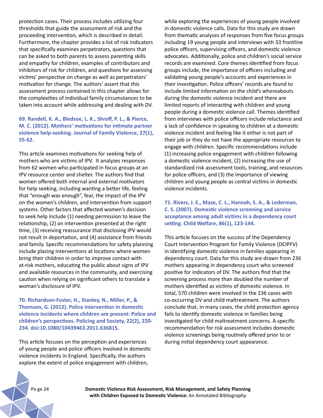protection cases. Their process includes utilizing four thresholds that guide the assessment of risk and the proceeding intervention, which is described in detail. Furthermore, the chapter provides a list of risk indicators that specifically examines perpetrators, questions that can be asked to both parents to assess parenting skills and empathy for children, examples of contributors and inhibitors of risk for children, and questions for assessing victims' perspective on change as well as perpetrators' motivation for change. The authors' assert that this assessment process contained in this chapter allows for the complexities of individual family circumstances to be taken into account while addressing and dealing with DV.

## **69. Randell, K. A., Bledsoe, L. K., Shroff, P. L., & Pierce, M. C. (2012). Mothers' motivations for intimate partner violence help-seeking. Journal of Family Violence, 27(1), 55-62.**

This article examines motivations for seeking help of mothers who are victims of IPV. It analyzes responses from 62 women who participated in focus groups at an IPV resource center and shelter. The authors find that women offered both internal and external motivators for help seeking, including wanting a better life, feeling that "enough was enough", fear, the impact of the IPV on the women's children, and intervention from support systems. Other factors that affected women's decision to seek help include (1) needing permission to leave the relationship, (2) an intervention presented at the right time, (3) receiving reassurance that disclosing IPV would not result in deportation, and (4) assistance from friends and family. Specific recommendations for safety planning include placing interventions at locations where women bring their children in order to improve contact with at-risk mothers, educating the public about signs of IPV and available resources in the community, and exercising caution when relying on significant others to translate a woman's disclosure of IPV.

**70. Richardson-Foster, H., Stanley, N., Miller, P., & Thomson, G. (2012). Police intervention in domestic violence incidents where children are present: Police and children's perspectives. Policing and Society, 22(2), 220- 234. doi:10.1080/10439463.2011.636815.**

This article focuses on the perception and experiences of young people and police officers involved in domestic violence incidents in England. Specifically, the authors explore the extent of police engagement with children,

while exploring the experiences of young people involved in domestic violence calls. Data for this study are drawn from thematic analyses of responses from five focus groups including 19 young people and interviews with 33 frontline police officers, supervising officers, and domestic violence advocates. Additionally, police and children's social service records are examined. Core themes identified from focus groups include, the importance of officers including and validating young people's accounts and experiences in their investigation. Police officers' records are found to include limited information on the child's whereabouts during the domestic violence incident and there are limited reports of interacting with children and young people during a domestic violence call. Themes identified from interviews with police officers include reluctance and a lack of confidence in speaking to children at a domestic violence incident and feeling like it either is not part of their job or they do not have the appropriate resources to engage with children. Specific recommendations include (1) increasing police engagement with children following a domestic violence incident, (2) increasing the use of standardized risk assessment tools, training, and resources for police officers, and (3) the importance of viewing children and young people as central victims in domestic violence incidents.

**71. Rivers, J. E., Maze, C. L., Hannah, S. A., & Lederman, C. S. (2007). Domestic violence screening and service acceptance among adult victims in a dependency court setting. Child Welfare, 86(1), 123-144.**

This article focuses on the success of the Dependency Court Intervention Program for Family Violence (DCIPFV) in identifying domestic violence in families appearing in dependency court. Data for this study are drawn from 236 mothers appearing in dependency court who screened positive for indicators of DV. The authors find that the screening process more than doubled the number of mothers identified as victims of domestic violence. In total, 570 children were involved in the 236 cases with co-occurring DV and child maltreatment. The authors conclude that, in many cases, the child protection agency fails to identify domestic violence in families being investigated for child maltreatment concerns. A specific recommendation for risk assessment includes domestic violence screenings being routinely offered prior to or during initial dependency court appearance.

Pa ge 24 **Domestic Violence Risk Assessment, Risk Management, and Safety Planning with Children Exposed to Domestic Violence:** An Annotated Bibliography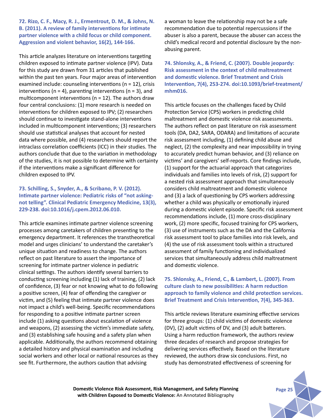**72. Rizo, C. F., Macy, R. J., Ermentrout, D. M., & Johns, N. B. (2011). A review of family interventions for intimate partner violence with a child focus or child component. Aggression and violent behavior, 16(2), 144-166.**

This article analyzes literature on interventions targeting children exposed to intimate partner violence (IPV). Data for this study are drawn from 31 articles that published within the past ten years. Four major areas of intervention examined include: counseling interventions (n = 12), crisis interventions ( $n = 4$ ), parenting interventions ( $n = 3$ ), and multicomponent interventions ( $n = 12$ ). The authors draw four central conclusions: (1) more research is needed on interventions for children exposed to IPV; (2) researchers should continue to investigate stand-alone interventions included in multicomponent interventions; (3) researchers should use statistical analyses that account for nested data where possible, and (4) researchers should report the intraclass correlation coefficients (ICC) in their studies. The authors conclude that due to the variation in methodology of the studies, it is not possible to determine with certainty if the interventions make a significant difference for children exposed to IPV.

## **73. Schilling, S., Snyder, A., & Scribano, P. V. (2012). Intimate partner violence: Pediatric risks of "not askingnot telling". Clinical Pediatric Emergency Medicine, 13(3), 229-238. doi:10.1016/j.cpem.2012.06.010.**

This article examines intimate partner violence screening processes among caretakers of children presenting to the emergency department. It references the transtheoretical model and urges clinicians' to understand the caretaker's unique situation and readiness to change. The authors reflect on past literature to assert the importance of screening for intimate partner violence in pediatric clinical settings. The authors identify several barriers to conducting screening including (1) lack of training, (2) lack of confidence, (3) fear or not knowing what to do following a positive screen, (4) fear of offending the caregiver or victim, and (5) feeling that intimate partner violence does not impact a child's well-being. Specific recommendations for responding to a positive intimate partner screen include (1) asking questions about escalation of violence and weapons, (2) assessing the victim's immediate safety, and (3) establishing safe housing and a safety plan when applicable. Additionally, the authors recommend obtaining a detailed history and physical examination and including social workers and other local or national resources as they see fit. Furthermore, the authors caution that advising

a woman to leave the relationship may not be a safe recommendation due to potential repercussions if the abuser is also a parent, because the abuser can access the child's medical record and potential disclosure by the nonabusing parent.

**74. Shlonsky, A., & Friend, C. (2007). Double jeopardy: Risk assessment in the context of child maltreatment and domestic violence. Brief Treatment and Crisis Intervention, 7(4), 253-274. doi:10.1093/brief-treatment/ mhm016.** 

This article focuses on the challenges faced by Child Protection Service (CPS) workers in predicting child maltreatment and domestic violence risk assessments. The authors reflect on past literature on risk assessment tools (DA, DA2, SARA, ODARA) and limitations of accurate risk assessment including, (1) defining child abuse and neglect, (2) the complexity and near impossibility in trying to accurately predict human behavior, and (3) reliance on victims' and caregivers' self-reports. Core findings include, (1) support for the actuarial approach that categorizes individuals and families into levels of risk, (2) support for a nested risk assessment approach that simultaneously considers child maltreatment and domestic violence and (3) a lack of questioning by CPS workers addressing whether a child was physically or emotionally injured during a domestic violent episode. Specific risk assessment recommendations include, (1) more cross-disciplinary work, (2) more specific, focused training for CPS workers, (3) use of instruments such as the DA and the California risk assessment tool to place families into risk levels, and (4) the use of risk assessment tools within a structured assessment of family functioning and individualized services that simultaneously address child maltreatment and domestic violence.

## **75. Shlonsky, A., Friend, C., & Lambert, L. (2007). From culture clash to new possibilities: A harm reduction approach to family violence and child protection services. Brief Treatment and Crisis Intervention, 7(4), 345-363.**

This article reviews literature examining effective services for three groups: (1) child victims of domestic violence (DV), (2) adult victims of DV, and (3) adult batterers. Using a harm reduction framework, the authors review three decades of research and propose strategies for delivering services effectively. Based on the literature reviewed, the authors draw six conclusions. First, no study has demonstrated effectiveness of screening for

**Domestic Violence Risk Assessment, Risk Management, and Safety Planning Page 25 with Children Exposed to Domestic Violence:** An Annotated Bibliography

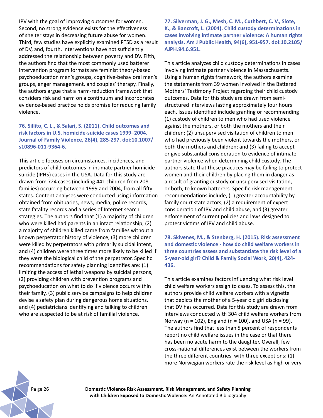IPV with the goal of improving outcomes for women. Second, no strong evidence exists for the effectiveness of shelter stays in decreasing future abuse for women. Third, few studies have explicitly examined PTSD as a result of DV, and, fourth, interventions have not sufficiently addressed the relationship between poverty and DV. Fifth, the authors find that the most commonly used batterer intervention program formats are feminist theory-based psychoeducation men's groups, cognitive-behavioral men's groups, anger management, and couples' therapy. Finally, the authors argue that a harm-reduction framework that considers risk and harm on a continuum and incorporates evidence-based practice holds promise for reducing family violence.

## **76. Sillito, C. L., & Salari, S. (2011). Child outcomes and risk factors in U.S. homicide-suicide cases 1999–2004. Journal of Family Violence, 26(4), 285-297. doi:10.1007/ s10896-011-9364-6.**

This article focuses on circumstances, incidences, and predictors of child outcomes in intimate partner homicidesuicide (IPHS) cases in the USA. Data for this study are drawn from 724 cases (including 441 children from 208 families) occurring between 1999 and 2004, from all fifty states. Content analyses were conducted using information obtained from obituaries, news, media, police records, state fatality records and a series of Internet search strategies. The authors find that (1) a majority of children who were killed had parents in an intact relationship, (2) a majority of children killed came from families without a known perpetrator history of violence, (3) more children were killed by perpetrators with primarily suicidal intent, and (4) children were three times more likely to be killed if they were the biological child of the perpetrator. Specific recommendations for safety planning identifies are: (1) limiting the access of lethal weapons by suicidal persons, (2) providing children with prevention programs and psychoeducation on what to do if violence occurs within their family, (3) public service campaigns to help children devise a safety plan during dangerous home situations, and (4) pediatricians identifying and talking to children who are suspected to be at risk of familial violence.

**77. Silverman, J. G., Mesh, C. M., Cuthbert, C. V., Slote, K., & Bancroft, L. (2004). Child custody determinations in cases involving intimate partner violence: A human rights analysis. Am J Public Health, 94(6), 951-957. doi:10.2105/ AJPH.94.6.951.**

This article analyzes child custody determinations in cases involving intimate partner violence in Massachusetts. Using a human rights framework, the authors examine the statements from 39 women involved in the Battered Mothers' Testimony Project regarding their child custody outcomes. Data for this study are drawn from semistructured interviews lasting approximately four hours each. Issues identified include granting or recommending (1) custody of children to men who had used violence against the mothers, or both the mothers and their children; (2) unsupervised visitation of children to men who had previously been violent towards the mothers, or both the mothers and children; and (3) failing to accept or give substantial consideration to evidence of intimate partner violence when determining child custody. The authors state that these practices may be failing to protect women and their children by placing them in danger as a result of granting custody or unsupervised visitation, or both, to known batterers. Specific risk management recommendations include, (1) greater accountability by family court state actors, (2) a requirement of expert consideration of IPV and child abuse, and (3) greater enforcement of current policies and laws designed to protect victims of IPV and child abuse.

**78. Skivenes, M., & Stenberg, H. (2015). Risk assessment and domestic violence - how do child welfare workers in three countries assess and substantiate the risk level of a 5-year-old girl? Child & Family Social Work, 20(4), 424- 436.**

This article examines factors influencing what risk level child welfare workers assign to cases. To assess this, the authors provide child welfare workers with a vignette that depicts the mother of a 5-year old girl disclosing that DV has occurred. Data for this study are drawn from interviews conducted with 304 child welfare workers from Norway (n = 102), England (n = 100), and USA (n = 99). The authors find that less than 5 percent of respondents report no child welfare issues in the case or that there has been no acute harm to the daughter. Overall, few cross-national differences exist between the workers from the three different countries, with three exceptions: (1) more Norwegian workers rate the risk level as high or very



Pa ge 26 **Domestic Violence Risk Assessment, Risk Management, and Safety Planning with Children Exposed to Domestic Violence:** An Annotated Bibliography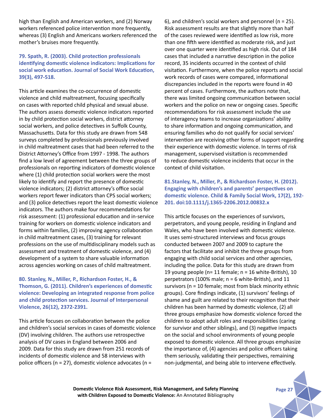high than English and American workers, and (2) Norway workers referenced police intervention more frequently, whereas (3) English and Americans workers referenced the mother's bruises more frequently.

# **79. Spath, R. (2003). Child protection professionals identifying domestic violence indicators: Implications for social work education. Journal of Social Work Education, 39(3), 497-518.**

This article examines the co-occurrence of domestic violence and child maltreatment, focusing specifically on cases with reported child physical and sexual abuse. The authors assess domestic violence indicators reported in by child protection social workers, district attorney social workers, and police detectives in Suffolk County, Massachusetts. Data for this study are drawn from 548 surveys completed by professionals previously involved in child maltreatment cases that had been referred to the District Attorney's Office from 1997 - 1998. The authors find a low level of agreement between the three groups of professionals on reporting indicators of domestic violence where (1) child protection social workers were the most likely to identify and report the presence of domestic violence indicators; (2) district attorney's office social workers report fewer indicators than CPS social workers; and (3) police detectives report the least domestic violence indicators. The authors make four recommendations for risk assessment: (1) professional education and in-service training for workers on domestic violence indicators and forms within families, (2) improving agency collaboration in child maltreatment cases, (3) training for relevant professions on the use of multidisciplinary models such as assessment and treatment of domestic violence, and (4) development of a system to share valuable information across agencies working on cases of child maltreatment.

## **80. Stanley, N., Miller, P., Richardson Foster, H., & Thomson, G. (2011). Children's experiences of domestic violence: Developing an integrated response from police and child protection services. Journal of Interpersonal Violence, 26(12), 2372-2391.**

This article focuses on collaboration between the police and children's social services in cases of domestic violence (DV) involving children. The authors use retrospective analysis of DV cases in England between 2006 and 2009. Data for this study are drawn from 251 records of incidents of domestic violence and 58 interviews with police officers (n = 27), domestic violence advocates (n =

6), and children's social workers and personnel (n = 25). Risk assessment results are that slightly more than half of the cases reviewed were identified as low risk, more than one fifth were identified as moderate risk, and just over one quarter were identified as high risk. Out of 184 cases that included a narrative description in the police record, 35 incidents occurred in the context of child visitation. Furthermore, when the police reports and social work records of cases were compared, informational discrepancies included in the reports were found in 40 percent of cases. Furthermore, the authors note that, there was limited ongoing communication between social workers and the police on new or ongoing cases. Specific recommendations for risk assessment include the use of interagency teams to increase organizations' ability to share information and ongoing communication, and ensuring families who do not qualify for social services' intervention are receiving other forms of support regarding their experience with domestic violence. In terms of risk management, supervised visitation is recommended to reduce domestic violence incidents that occur in the context of child visitation.

**81.Stanley, N., Miller, P., & Richardson Foster, H. (2012). Engaging with children's and parents' perspectives on domestic violence. Child & Family Social Work, 17(2), 192- 201. doi:10.1111/j.1365-2206.2012.00832.x**

This article focuses on the experiences of survivors, perpetrators, and young people, residing in England and Wales, who have been involved with domestic violence. It uses semi-structured interviews and focus groups conducted between 2007 and 2009 to capture the factors that facilitate and inhibit the three groups from engaging with child social services and other agencies, including the police. Data for this study are drawn from 19 young people (n= 11 female; n = 16 white-British), 10 perpetrators (100% male; n = 6 white-British), and 11 survivors (n = 10 female; most from black minority ethnic groups). Core findings indicate, (1) survivors' feelings of shame and guilt are related to their recognition that their children has been harmed by domestic violence, (2) all three groups emphasize how domestic violence forced the children to adopt adult roles and responsibilities (caring for survivor and other siblings), and (3) negative impacts on the social and school environments of young people exposed to domestic violence. All three groups emphasize the importance of, (4) agencies and police officers taking them seriously, validating their perspectives, remaining non-judgmental, and being able to intervene effectively.

**Domestic Violence Risk Assessment, Risk Management, and Safety Planning Page 27 with Children Exposed to Domestic Violence:** An Annotated Bibliography

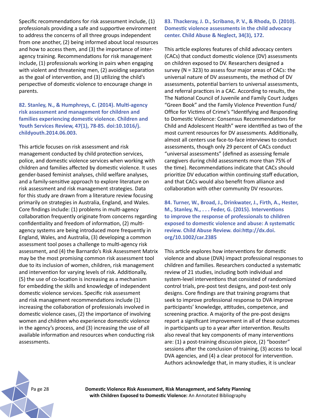Specific recommendations for risk assessment include, (1) professionals providing a safe and supportive environment to address the concerns of all three groups independent from one another, (2) being informed about local resources and how to access them, and (3) the importance of interagency training. Recommendations for risk management include, (1) professionals working in pairs when engaging with violent and threatening men, (2) avoiding separation as the goal of intervention, and (3) utilizing the child's perspective of domestic violence to encourage change in parents.

**82. Stanley, N., & Humphreys, C. (2014). Multi-agency risk assessment and management for children and families experiencing domestic violence. Children and Youth Services Review, 47(1), 78-85. doi:10.1016/j. childyouth.2014.06.003.**

This article focuses on risk assessment and risk management conducted by child protection services, police, and domestic violence services when working with children and families affected by domestic violence. It uses gender-based feminist analyses, child welfare analyses, and a family-sensitive approach to explore literature on risk assessment and risk management strategies. Data for this study are drawn from a literature review focusing primarily on strategies in Australia, England, and Wales. Core findings include: (1) problems in multi-agency collaboration frequently originate from concerns regarding confidentiality and freedom of information, (2) multiagency systems are being introduced more frequently in England, Wales, and Australia, (3) developing a common assessment tool poses a challenge to multi-agency risk assessment, and (4) the Barnardo's Risk Assessment Matrix may be the most promising common risk assessment tool due to its inclusion of women, children, risk management and intervention for varying levels of risk. Additionally, (5) the use of co-location is increasing as a mechanism for embedding the skills and knowledge of independent domestic violence services. Specific risk assessment and risk management recommendations include (1) increasing the collaboration of professionals involved in domestic violence cases, (2) the importance of involving women and children who experience domestic violence in the agency's process, and (3) increasing the use of all available information and resources when conducting risk assessments.

**83. Thackeray, J. D., Scribano, P. V., & Rhoda, D. (2010). Domestic violence assessments in the child advocacy center. Child Abuse & Neglect, 34(3), 172.** 

This article explores features of child advocacy centers (CACs) that conduct domestic violence (DV) assessments on children exposed to DV. Researchers designed a survey (N = 323) to assess four major areas of CACs: the universal nature of DV assessments, the method of DV assessments, potential barriers to universal assessments, and referral practices in a CAC. According to results, the The National Council of Juvenile and Family Court Judges "Green Book" and the Family Violence Prevention Fund/ Office for Victims of Crime's "Identifying and Responding to Domestic Violence: Consensus Recommendations for Child and Adolescent Health" were identified as two of the most current resources for DV assessments. Additionally, almost all centers use face-to-face interviews to conduct assessments, though only 29 percent of CACs conduct "universal assessments" (defined as assessing female caregivers during child assessments more than 75% of the time). Recommendations indicate that CACs should prioritize DV education within continuing staff education, and that CACs would also benefit from alliance and collaboration with other community DV resources.

**84. Turner, W., Broad, J., Drinkwater, J., Firth, A., Hester, M., Stanley, N., . . . Feder, G. (2015). Interventions to improve the response of professionals to children exposed to domestic violence and abuse: A systematic review. Child Abuse Review. doi:http://dx.doi. org/10.1002/car.2385**

This article explores how interventions for domestic violence and abuse (DVA) impact professional responses to children and families. Researchers conducted a systematic review of 21 studies, including both individual and system-level interventions that consisted of randomized control trials, pre-post test designs, and post-test only designs. Core findings are that training programs that seek to improve professional response to DVA improve participants' knowledge, attitudes, competence, and screening practice. A majority of the pre-post designs report a significant improvement in all of these outcomes in participants up to a year after intervention. Results also reveal that key components of many interventions are: (1) a post-training discussion piece, (2) "booster" sessions after the conclusion of training, (3) access to local DVA agencies, and (4) a clear protocol for intervention. Authors acknowledge that, in many studies, it is unclear

Pa ge 28 **Domestic Violence Risk Assessment, Risk Management, and Safety Planning with Children Exposed to Domestic Violence:** An Annotated Bibliography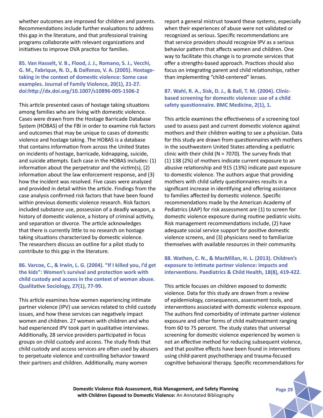whether outcomes are improved for children and parents. Recommendations include further evaluations to address this gap in the literature, and that professional training programs collaborate with relevant organizations and initiatives to improve DVA practice for families.

**85. Van Hasselt, V. B., Flood, J. J., Romano, S. J., Vecchi, G. M., Fabrique, N. D., & Dalfonzo, V. A. (2005). Hostagetaking in the context of domestic violence: Some case examples. Journal of Family Violence, 20(1), 21-27. doi:http://dx.doi.org/10.1007/s10896-005-1506-2**

This article presented cases of hostage taking situations among families who are living with domestic violence. Cases were drawn from the Hostage Barricade Database System (HOBAS) of the FBI in order to examine risk factors and outcomes that may be unique to cases of domestic violence and hostage taking. The HOBAS is a database that contains information from across the United States on incidents of hostage, barricade, kidnapping, suicide, and suicide attempts. Each case in the HOBAS includes: (1) information about the perpetrator and the victim(s), (2) information about the law enforcement response, and (3) how the incident was resolved. Five cases were analyzed and provided in detail within the article. Findings from the case analysis confirmed risk factors that have been found within previous domestic violence research. Risk factors included substance use, possession of a deadly weapon, a history of domestic violence, a history of criminal activity, and separation or divorce. The article acknowledges that there is currently little to no research on hostage taking situations characterized by domestic violence. The researchers discuss an outline for a pilot study to contribute to this gap in the literature.

## **86. Varcoe, C., & Irwin, L. G. (2004). "If I killed you, I'd get the kids": Women's survival and protection work with child custody and access in the context of woman abuse. Qualitative Sociology, 27(1), 77-99.**

This article examines how women experiencing intimate partner violence (IPV) use services related to child custody issues, and how these services can negatively impact women and children. 27 women with children and who had experienced IPV took part in qualitative interviews. Additionally, 28 service providers participated in focus groups on child custody and access. The study finds that child custody and access services are often used by abusers to perpetuate violence and controlling behavior toward their partners and children. Additionally, many women

report a general mistrust toward these systems, especially when their experiences of abuse were not validated or recognized as serious. Specific recommendations are that service providers should recognize IPV as a serious behavior pattern that affects women and children. One way to facilitate this change is to promote services that offer a strengths-based approach. Practices should also focus on integrating parent and child relationships, rather than implementing "child-centered" lenses.

## **87. Wahl, R. A., Sisk, D. J., & Ball, T. M. (2004). Clinicbased screening for domestic violence: use of a child safety questionnaire. BMC Medicine, 2(1), 1.**

This article examines the effectiveness of a screening tool used to assess past and current domestic violence against mothers and their children waiting to see a physician. Data for this study are drawn from questionnaires with mothers in the southwestern United States attending a pediatric clinic with their child ( $N = 7070$ ). The survey finds that (1) 138 (2%) of mothers indicate current exposure to an abusive relationship and 915 (13%) indicate past exposure to domestic violence. The authors argue that providing mothers with child safety questionnaires results in a significant increase in identifying and offering assistance to families affected by domestic violence. Specific recommendations made by the American Academy of Pediatrics (AAP) for risk assessment are (1) to screen for domestic violence exposure during routine pediatric visits. Risk management recommendations include, (2) have adequate social service support for positive domestic violence screens, and (3) physicians need to familiarize themselves with available resources in their community.

# **88. Wathen, C. N., & MacMillan, H. L. (2013). Children's exposure to intimate partner violence: Impacts and interventions. Paediatrics & Child Health, 18(8), 419-422.**

This article focuses on children exposed to domestic violence. Data for this study are drawn from a review of epidemiology, consequences, assessment tools, and interventions associated with domestic violence exposure. The authors find comorbidity of intimate partner violence exposure and other forms of child maltreatment ranging from 60 to 75 percent. The study states that universal screening for domestic violence experienced by women is not an effective method for reducing subsequent violence, and that positive effects have been found in interventions using child-parent psychotherapy and trauma-focused cognitive behavioral therapy. Specific recommendations for

**Domestic Violence Risk Assessment, Risk Management, and Safety Planning Page 29 with Children Exposed to Domestic Violence:** An Annotated Bibliography

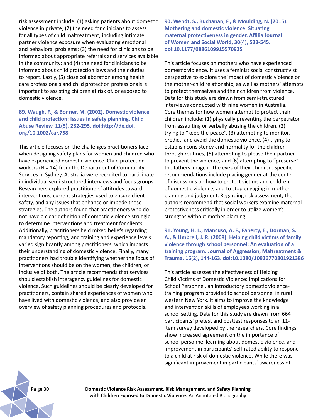risk assessment include: (1) asking patients about domestic violence in private; (2) the need for clinicians to assess for all types of child maltreatment, including intimate partner violence exposure when evaluating emotional and behavioral problems; (3) the need for clinicians to be informed about appropriate referrals and services available in the community; and (4) the need for clinicians to be informed about child protection laws and their duties to report. Lastly, (5) close collaboration among health care professionals and child protection professionals is important to assisting children at risk of, or exposed to domestic violence.

## **89. Waugh, F., & Bonner, M. (2002). Domestic violence and child protection: Issues in safety planning. Child Abuse Review, 11(5), 282-295. doi:http://dx.doi. org/10.1002/car.758**

This article focuses on the challenges practitioners face when designing safety plans for women and children who have experienced domestic violence. Child protection workers (N = 14) from the Department of Community Services in Sydney, Australia were recruited to participate in individual semi-structured interviews and focus groups. Researchers explored practitioners' attitudes toward interventions, current strategies used to ensure client safety, and any issues that enhance or impede these strategies. The authors found that practitioners who do not have a clear definition of domestic violence struggle to determine interventions and treatment for clients. Additionally, practitioners held mixed beliefs regarding mandatory reporting, and training and experience levels varied significantly among practitioners, which impacts their understanding of domestic violence. Finally, many practitioners had trouble identifying whether the focus of interventions should be on the women, the children, or inclusive of both. The article recommends that services should establish interagency guidelines for domestic violence. Such guidelines should be clearly developed for practitioners, contain shared experiences of women who have lived with domestic violence, and also provide an overview of safety planning procedures and protocols.

**90. Wendt, S., Buchanan, F., & Moulding, N. (2015). Mothering and domestic violence: Situating maternal protectiveness in gender. Affilia Journal of Women and Social World, 30(4), 533-545. doi:10.1177/0886109915570925**

This article focuses on mothers who have experienced domestic violence. It uses a feminist social constructivist perspective to explore the impact of domestic violence on the mother-child relationship, as well as mothers' attempts to protect themselves and their children from violence. Data for this study are drawn from semi-structured interviews conducted with nine women in Australia. Core themes for how women attempt to protect their children include: (1) physically preventing the perpetrator from assaulting or verbally abusing the children, (2) trying to "keep the peace", (3) attempting to monitor, predict, and avoid the domestic violence, (4) trying to establish consistency and normality for the children through routines, (5) attempting to please their partner to prevent the violence, and (6) attempting to "preserve" the fathers image in the eyes of their children. Specific recommendations include placing gender at the center of discussions on how to protect victims and children of domestic violence, and to stop engaging in mother blaming and judgment. Regarding risk assessment, the authors recommend that social workers examine maternal protectiveness critically in order to utilize women's strengths without mother blaming.

**91. Young, H. L., Mancuso, A. F., Faherty, E., Dorman, S. A., & Umbrell, J. R. (2008). Helping child victims of family violence through school personnel: An evaluation of a training program. Journal of Aggression, Maltreatment & Trauma, 16(2), 144-163. doi:10.1080/10926770801921386**

This article assesses the effectiveness of Helping Child Victims of Domestic Violence: Implications for School Personnel, an introductory domestic violencetraining program provided to school personnel in rural western New York. It aims to improve the knowledge and intervention skills of employees working in a school setting. Data for this study are drawn from 664 participants' pretest and posttest responses to an 11 item survey developed by the researchers. Core findings show increased agreement on the importance of school personnel learning about domestic violence, and improvement in participants' self-rated ability to respond to a child at risk of domestic violence. While there was significant improvement in participants' awareness of

Pa ge 30 **Domestic Violence Risk Assessment, Risk Management, and Safety Planning with Children Exposed to Domestic Violence:** An Annotated Bibliography